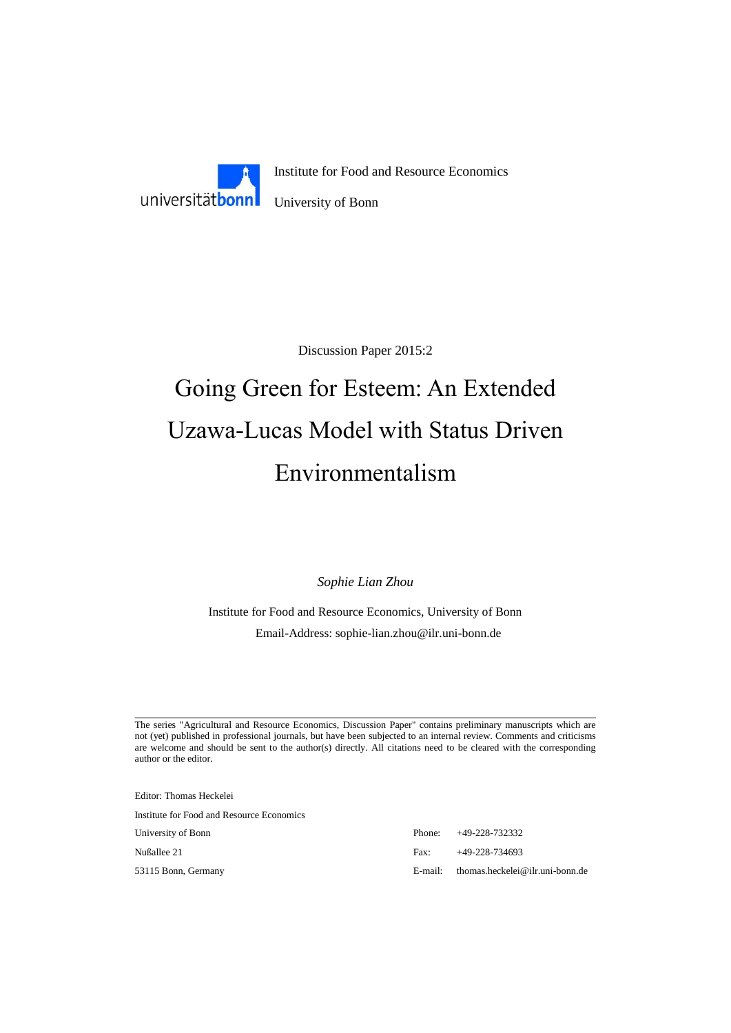

Discussion Paper 2015:2

# Going Green for Esteem: An Extended Uzawa-Lucas Model with Status Driven Environmentalism

*Sophie Lian Zhou*

Institute for Food and Resource Economics, University of Bonn Email-Address: sophie-lian.zhou@ilr.uni-bonn.de

The series "Agricultural and Resource Economics, Discussion Paper" contains preliminary manuscripts which are not (yet) published in professional journals, but have been subjected to an internal review. Comments and criticisms are welcome and should be sent to the author(s) directly. All citations need to be cleared with the corresponding author or the editor.

Editor: Thomas Heckelei

Institute for Food and Resource Economics

University of Bonn Phone: +49-228-732332 Nußallee 21 Fax: +49-228-734693 53115 Bonn, Germany E-mail: thomas.heckelei@ilr.uni-bonn.de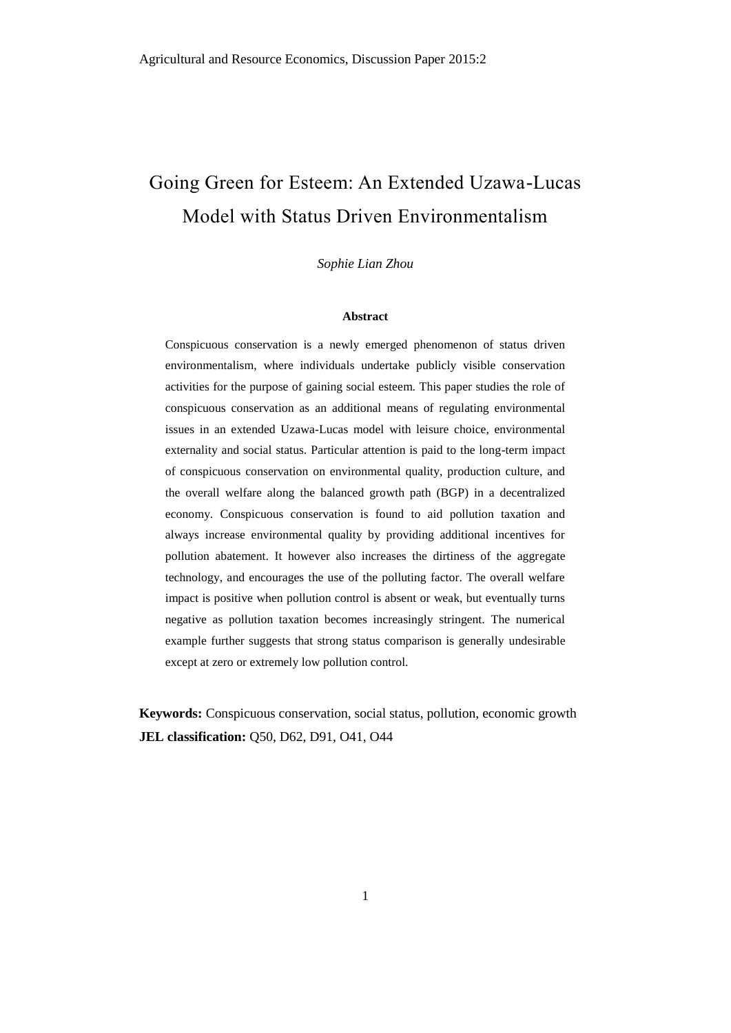# Going Green for Esteem: An Extended Uzawa-Lucas Model with Status Driven Environmentalism

*Sophie Lian Zhou*

#### **Abstract**

Conspicuous conservation is a newly emerged phenomenon of status driven environmentalism, where individuals undertake publicly visible conservation activities for the purpose of gaining social esteem. This paper studies the role of conspicuous conservation as an additional means of regulating environmental issues in an extended Uzawa-Lucas model with leisure choice, environmental externality and social status. Particular attention is paid to the long-term impact of conspicuous conservation on environmental quality, production culture, and the overall welfare along the balanced growth path (BGP) in a decentralized economy. Conspicuous conservation is found to aid pollution taxation and always increase environmental quality by providing additional incentives for pollution abatement. It however also increases the dirtiness of the aggregate technology, and encourages the use of the polluting factor. The overall welfare impact is positive when pollution control is absent or weak, but eventually turns negative as pollution taxation becomes increasingly stringent. The numerical example further suggests that strong status comparison is generally undesirable except at zero or extremely low pollution control.

**Keywords:** Conspicuous conservation, social status, pollution, economic growth **JEL classification:** Q50, D62, D91, O41, O44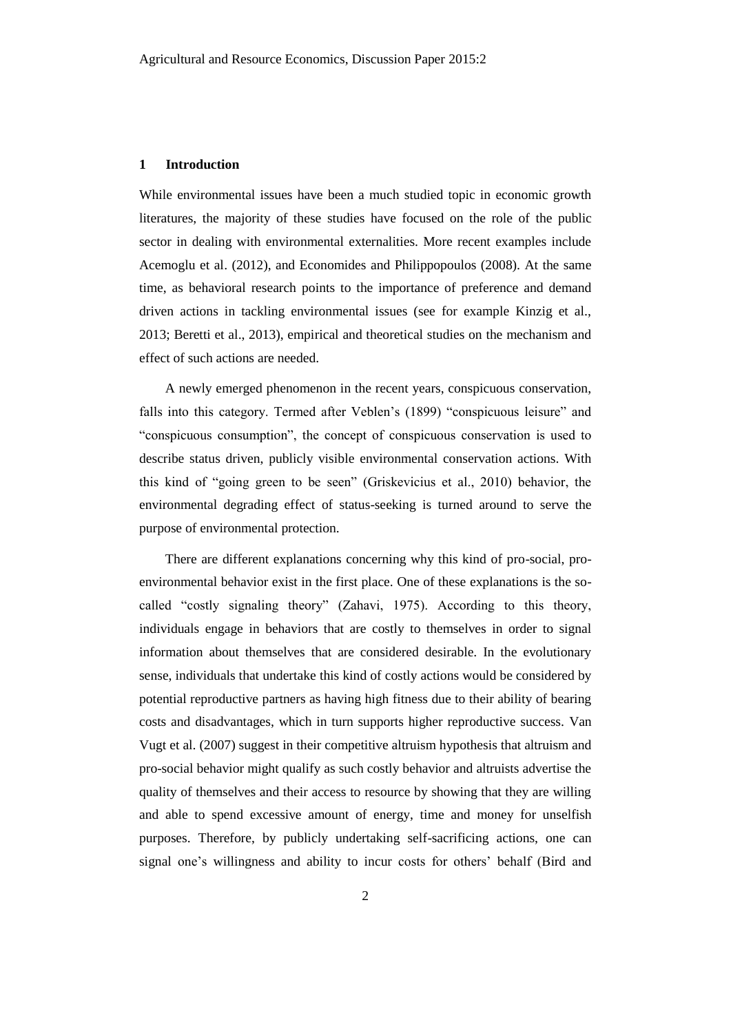#### **1 Introduction**

While environmental issues have been a much studied topic in economic growth literatures, the majority of these studies have focused on the role of the public sector in dealing with environmental externalities. More recent examples include Acemoglu et al. (2012), and Economides and Philippopoulos (2008). At the same time, as behavioral research points to the importance of preference and demand driven actions in tackling environmental issues (see for example Kinzig et al., 2013; Beretti et al., 2013), empirical and theoretical studies on the mechanism and effect of such actions are needed.

A newly emerged phenomenon in the recent years, conspicuous conservation, falls into this category. Termed after Veblen's (1899) "conspicuous leisure" and "conspicuous consumption", the concept of conspicuous conservation is used to describe status driven, publicly visible environmental conservation actions. With this kind of "going green to be seen" (Griskevicius et al., 2010) behavior, the environmental degrading effect of status-seeking is turned around to serve the purpose of environmental protection.

There are different explanations concerning why this kind of pro-social, proenvironmental behavior exist in the first place. One of these explanations is the socalled "costly signaling theory" (Zahavi, 1975). According to this theory, individuals engage in behaviors that are costly to themselves in order to signal information about themselves that are considered desirable. In the evolutionary sense, individuals that undertake this kind of costly actions would be considered by potential reproductive partners as having high fitness due to their ability of bearing costs and disadvantages, which in turn supports higher reproductive success. Van Vugt et al. (2007) suggest in their competitive altruism hypothesis that altruism and pro-social behavior might qualify as such costly behavior and altruists advertise the quality of themselves and their access to resource by showing that they are willing and able to spend excessive amount of energy, time and money for unselfish purposes. Therefore, by publicly undertaking self-sacrificing actions, one can signal one's willingness and ability to incur costs for others' behalf (Bird and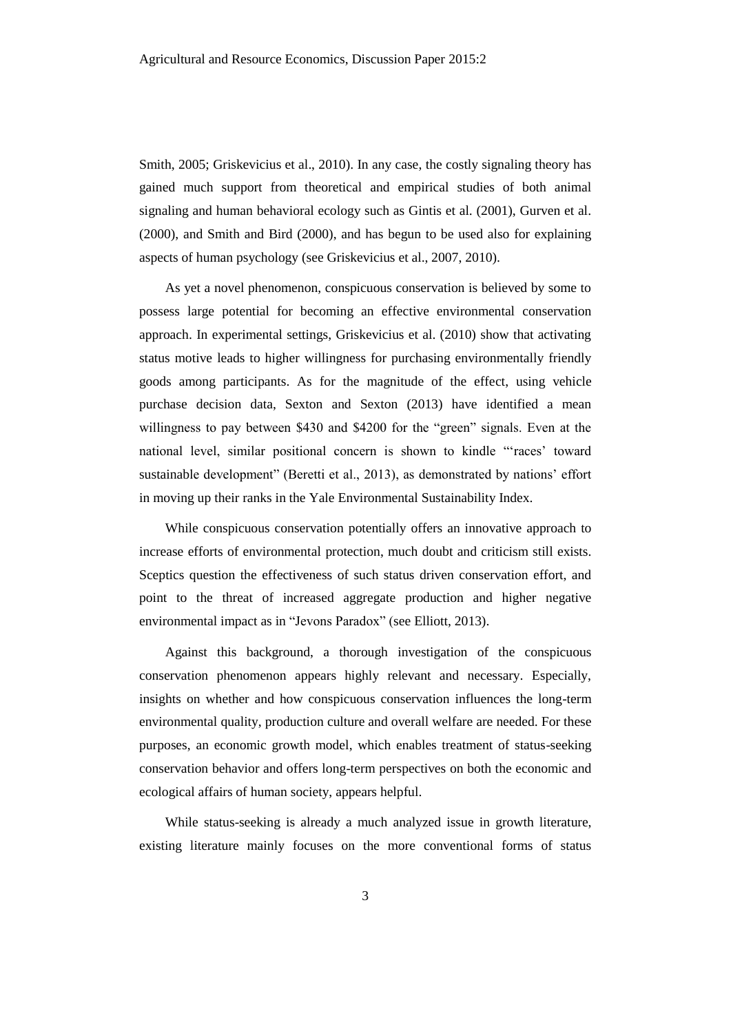Smith, 2005; Griskevicius et al., 2010). In any case, the costly signaling theory has gained much support from theoretical and empirical studies of both animal signaling and human behavioral ecology such as Gintis et al. (2001), Gurven et al. (2000), and Smith and Bird (2000), and has begun to be used also for explaining aspects of human psychology (see Griskevicius et al., 2007, 2010).

As yet a novel phenomenon, conspicuous conservation is believed by some to possess large potential for becoming an effective environmental conservation approach. In experimental settings, Griskevicius et al. (2010) show that activating status motive leads to higher willingness for purchasing environmentally friendly goods among participants. As for the magnitude of the effect, using vehicle purchase decision data, Sexton and Sexton (2013) have identified a mean willingness to pay between \$430 and \$4200 for the "green" signals. Even at the national level, similar positional concern is shown to kindle "'races' toward sustainable development" (Beretti et al., 2013), as demonstrated by nations' effort in moving up their ranks in the Yale Environmental Sustainability Index.

While conspicuous conservation potentially offers an innovative approach to increase efforts of environmental protection, much doubt and criticism still exists. Sceptics question the effectiveness of such status driven conservation effort, and point to the threat of increased aggregate production and higher negative environmental impact as in "Jevons Paradox" (see Elliott, 2013).

Against this background, a thorough investigation of the conspicuous conservation phenomenon appears highly relevant and necessary. Especially, insights on whether and how conspicuous conservation influences the long-term environmental quality, production culture and overall welfare are needed. For these purposes, an economic growth model, which enables treatment of status-seeking conservation behavior and offers long-term perspectives on both the economic and ecological affairs of human society, appears helpful.

While status-seeking is already a much analyzed issue in growth literature, existing literature mainly focuses on the more conventional forms of status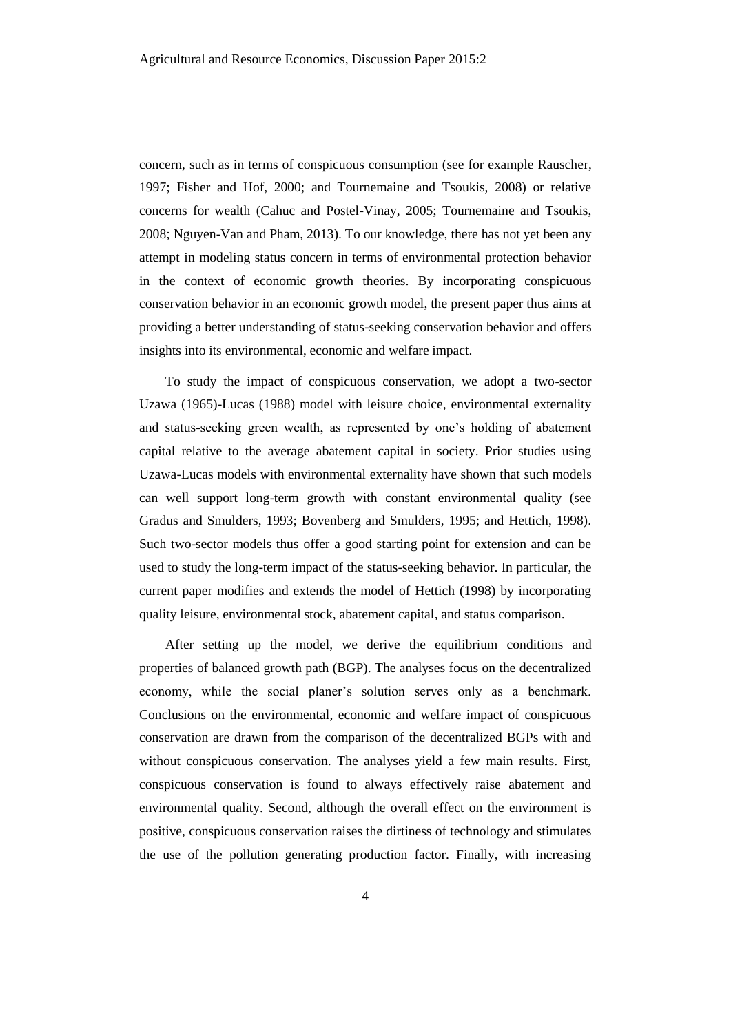concern, such as in terms of conspicuous consumption (see for example Rauscher, 1997; Fisher and Hof, 2000; and Tournemaine and Tsoukis, 2008) or relative concerns for wealth (Cahuc and Postel-Vinay, 2005; Tournemaine and Tsoukis, 2008; Nguyen-Van and Pham, 2013). To our knowledge, there has not yet been any attempt in modeling status concern in terms of environmental protection behavior in the context of economic growth theories. By incorporating conspicuous conservation behavior in an economic growth model, the present paper thus aims at providing a better understanding of status-seeking conservation behavior and offers insights into its environmental, economic and welfare impact.

To study the impact of conspicuous conservation, we adopt a two-sector Uzawa (1965)-Lucas (1988) model with leisure choice, environmental externality and status-seeking green wealth, as represented by one's holding of abatement capital relative to the average abatement capital in society. Prior studies using Uzawa-Lucas models with environmental externality have shown that such models can well support long-term growth with constant environmental quality (see Gradus and Smulders, 1993; Bovenberg and Smulders, 1995; and Hettich, 1998). Such two-sector models thus offer a good starting point for extension and can be used to study the long-term impact of the status-seeking behavior. In particular, the current paper modifies and extends the model of Hettich (1998) by incorporating quality leisure, environmental stock, abatement capital, and status comparison.

After setting up the model, we derive the equilibrium conditions and properties of balanced growth path (BGP). The analyses focus on the decentralized economy, while the social planer's solution serves only as a benchmark. Conclusions on the environmental, economic and welfare impact of conspicuous conservation are drawn from the comparison of the decentralized BGPs with and without conspicuous conservation. The analyses yield a few main results. First, conspicuous conservation is found to always effectively raise abatement and environmental quality. Second, although the overall effect on the environment is positive, conspicuous conservation raises the dirtiness of technology and stimulates the use of the pollution generating production factor. Finally, with increasing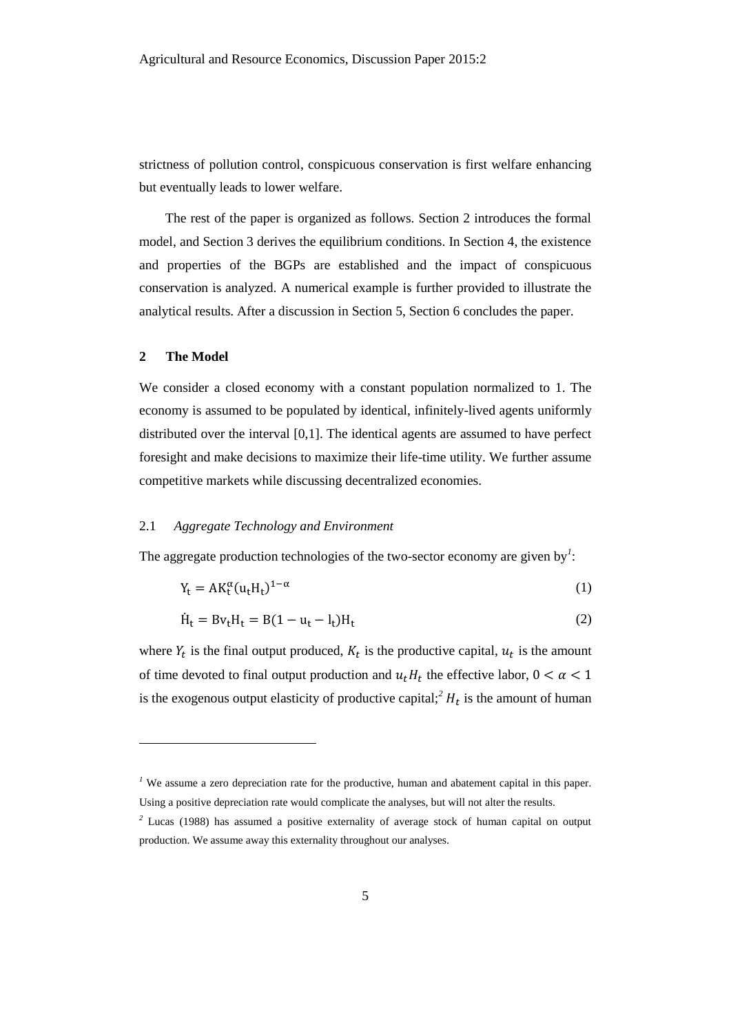strictness of pollution control, conspicuous conservation is first welfare enhancing but eventually leads to lower welfare.

The rest of the paper is organized as follows. Section 2 introduces the formal model, and Section 3 derives the equilibrium conditions. In Section 4, the existence and properties of the BGPs are established and the impact of conspicuous conservation is analyzed. A numerical example is further provided to illustrate the analytical results. After a discussion in Section 5, Section 6 concludes the paper.

# **2 The Model**

l

We consider a closed economy with a constant population normalized to 1. The economy is assumed to be populated by identical, infinitely-lived agents uniformly distributed over the interval [0,1]. The identical agents are assumed to have perfect foresight and make decisions to maximize their life-time utility. We further assume competitive markets while discussing decentralized economies.

#### 2.1 *Aggregate Technology and Environment*

The aggregate production technologies of the two-sector economy are given by<sup>1</sup>:

$$
Y_t = AK_t^{\alpha}(u_t H_t)^{1-\alpha}
$$
 (1)

$$
\dot{H}_t = Bv_t H_t = B(1 - u_t - l_t)H_t
$$
\n<sup>(2)</sup>

where  $Y_t$  is the final output produced,  $K_t$  is the productive capital,  $u_t$  is the amount of time devoted to final output production and  $u_t H_t$  the effective labor,  $0 < \alpha < 1$ is the exogenous output elasticity of productive capital;<sup>2</sup>  $H_t$  is the amount of human

<sup>&</sup>lt;sup>1</sup> We assume a zero depreciation rate for the productive, human and abatement capital in this paper. Using a positive depreciation rate would complicate the analyses, but will not alter the results.

*<sup>2</sup>* Lucas (1988) has assumed a positive externality of average stock of human capital on output production. We assume away this externality throughout our analyses.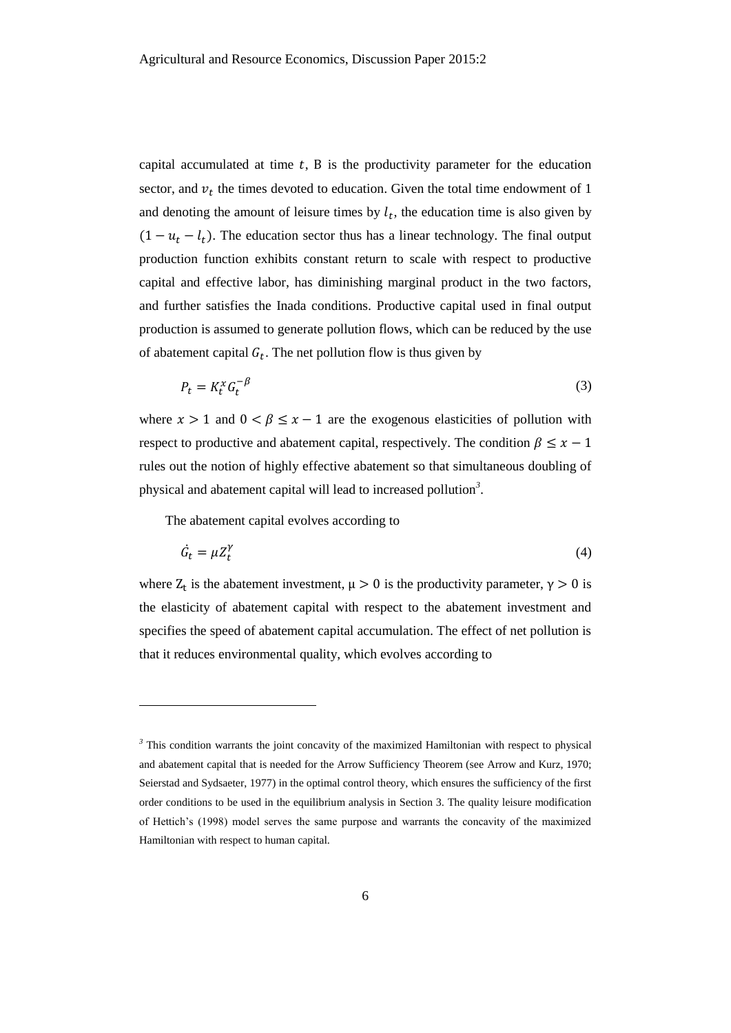capital accumulated at time  $t$ , B is the productivity parameter for the education sector, and  $v_t$  the times devoted to education. Given the total time endowment of 1 and denoting the amount of leisure times by  $l_t$ , the education time is also given by  $(1 - u_t - l_t)$ . The education sector thus has a linear technology. The final output production function exhibits constant return to scale with respect to productive capital and effective labor, has diminishing marginal product in the two factors, and further satisfies the Inada conditions. Productive capital used in final output production is assumed to generate pollution flows, which can be reduced by the use of abatement capital  $G_t$ . The net pollution flow is thus given by

$$
P_t = K_t^x G_t^{-\beta} \tag{3}
$$

where  $x > 1$  and  $0 < \beta \le x - 1$  are the exogenous elasticities of pollution with respect to productive and abatement capital, respectively. The condition  $\beta \leq x - 1$ rules out the notion of highly effective abatement so that simultaneous doubling of physical and abatement capital will lead to increased pollution*<sup>3</sup>* .

The abatement capital evolves according to

 $\overline{a}$ 

$$
\dot{G}_t = \mu Z_t^{\gamma} \tag{4}
$$

where  $Z_t$  is the abatement investment,  $\mu > 0$  is the productivity parameter,  $\gamma > 0$  is the elasticity of abatement capital with respect to the abatement investment and specifies the speed of abatement capital accumulation. The effect of net pollution is that it reduces environmental quality, which evolves according to

<sup>&</sup>lt;sup>3</sup> This condition warrants the joint concavity of the maximized Hamiltonian with respect to physical and abatement capital that is needed for the Arrow Sufficiency Theorem (see Arrow and Kurz, 1970; Seierstad and Sydsaeter, 1977) in the optimal control theory, which ensures the sufficiency of the first order conditions to be used in the equilibrium analysis in Section 3. The quality leisure modification of Hettich's (1998) model serves the same purpose and warrants the concavity of the maximized Hamiltonian with respect to human capital.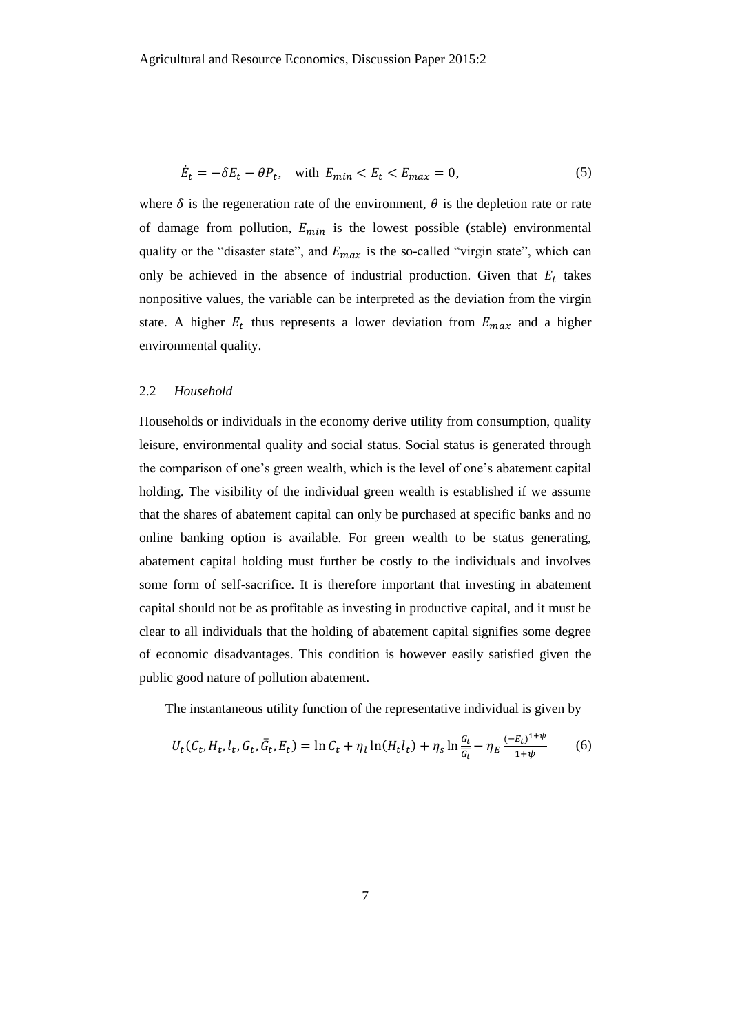$$
\dot{E}_t = -\delta E_t - \theta P_t, \quad \text{with } E_{min} < E_t < E_{max} = 0,\tag{5}
$$

where  $\delta$  is the regeneration rate of the environment,  $\theta$  is the depletion rate or rate of damage from pollution,  $E_{min}$  is the lowest possible (stable) environmental quality or the "disaster state", and  $E_{max}$  is the so-called "virgin state", which can only be achieved in the absence of industrial production. Given that  $E_t$  takes nonpositive values, the variable can be interpreted as the deviation from the virgin state. A higher  $E_t$  thus represents a lower deviation from  $E_{max}$  and a higher environmental quality.

# 2.2 *Household*

Households or individuals in the economy derive utility from consumption, quality leisure, environmental quality and social status. Social status is generated through the comparison of one's green wealth, which is the level of one's abatement capital holding. The visibility of the individual green wealth is established if we assume that the shares of abatement capital can only be purchased at specific banks and no online banking option is available. For green wealth to be status generating, abatement capital holding must further be costly to the individuals and involves some form of self-sacrifice. It is therefore important that investing in abatement capital should not be as profitable as investing in productive capital, and it must be clear to all individuals that the holding of abatement capital signifies some degree of economic disadvantages. This condition is however easily satisfied given the public good nature of pollution abatement.

The instantaneous utility function of the representative individual is given by

$$
U_t(C_t, H_t, l_t, G_t, \bar{G}_t, E_t) = \ln C_t + \eta_l \ln(H_t l_t) + \eta_s \ln \frac{G_t}{G_t} - \eta_E \frac{(-E_t)^{1+\psi}}{1+\psi}
$$
(6)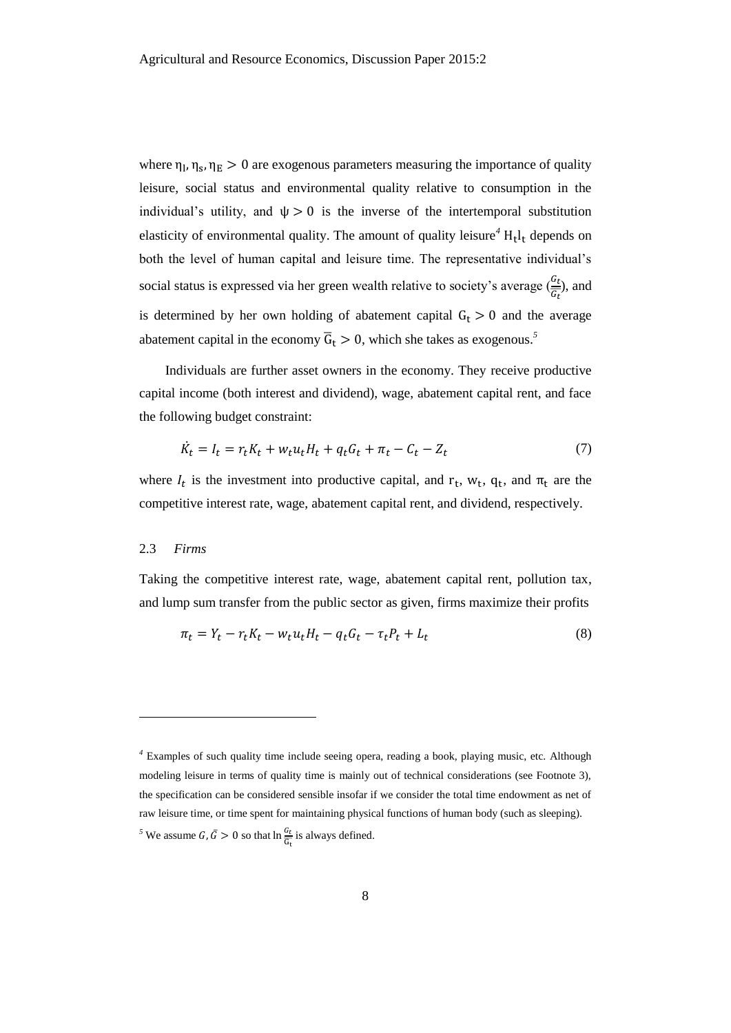where  $\eta_1$ ,  $\eta_s$ ,  $\eta_E > 0$  are exogenous parameters measuring the importance of quality leisure, social status and environmental quality relative to consumption in the individual's utility, and  $\psi > 0$  is the inverse of the intertemporal substitution elasticity of environmental quality. The amount of quality leisure<sup>4</sup> H<sub>t</sub>l<sub>t</sub> depends on both the level of human capital and leisure time. The representative individual's social status is expressed via her green wealth relative to society's average  $(\frac{G_t}{G_t})$ , and is determined by her own holding of abatement capital  $G_t > 0$  and the average abatement capital in the economy  $\overline{G}_t > 0$ , which she takes as exogenous.<sup>5</sup>

Individuals are further asset owners in the economy. They receive productive capital income (both interest and dividend), wage, abatement capital rent, and face the following budget constraint:

$$
\dot{K}_t = I_t = r_t K_t + w_t u_t H_t + q_t G_t + \pi_t - C_t - Z_t \tag{7}
$$

where  $I_t$  is the investment into productive capital, and  $r_t$ ,  $w_t$ ,  $q_t$ , and  $\pi_t$  are the competitive interest rate, wage, abatement capital rent, and dividend, respectively.

#### 2.3 *Firms*

l

Taking the competitive interest rate, wage, abatement capital rent, pollution tax, and lump sum transfer from the public sector as given, firms maximize their profits

$$
\pi_t = Y_t - r_t K_t - w_t u_t H_t - q_t G_t - \tau_t P_t + L_t \tag{8}
$$

*<sup>4</sup>* Examples of such quality time include seeing opera, reading a book, playing music, etc. Although modeling leisure in terms of quality time is mainly out of technical considerations (see Footnote 3), the specification can be considered sensible insofar if we consider the total time endowment as net of raw leisure time, or time spent for maintaining physical functions of human body (such as sleeping). <sup>5</sup> We assume *G*,  $\bar{G} > 0$  so that  $\ln \frac{G_t}{G_t}$  is always defined.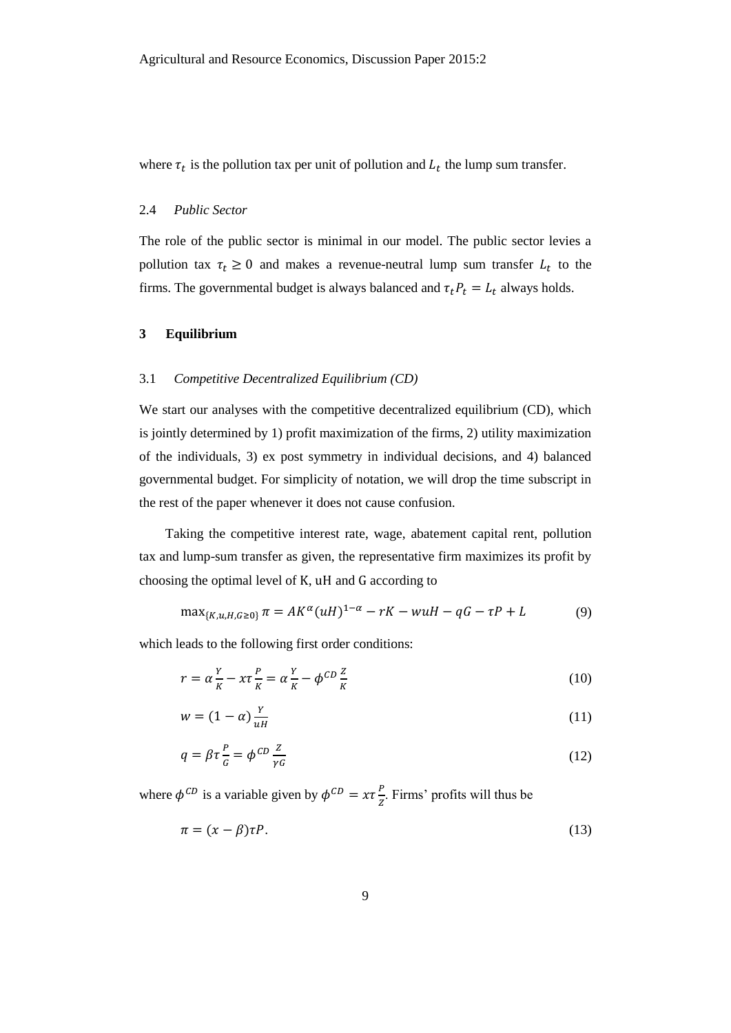where  $\tau_t$  is the pollution tax per unit of pollution and  $L_t$  the lump sum transfer.

### 2.4 *Public Sector*

The role of the public sector is minimal in our model. The public sector levies a pollution tax  $\tau_t \geq 0$  and makes a revenue-neutral lump sum transfer  $L_t$  to the firms. The governmental budget is always balanced and  $\tau_t P_t = L_t$  always holds.

# **3 Equilibrium**

#### 3.1 *Competitive Decentralized Equilibrium (CD)*

We start our analyses with the competitive decentralized equilibrium (CD), which is jointly determined by 1) profit maximization of the firms, 2) utility maximization of the individuals, 3) ex post symmetry in individual decisions, and 4) balanced governmental budget. For simplicity of notation, we will drop the time subscript in the rest of the paper whenever it does not cause confusion.

Taking the competitive interest rate, wage, abatement capital rent, pollution tax and lump-sum transfer as given, the representative firm maximizes its profit by choosing the optimal level of K, uH and G according to

$$
\max_{\{K, u, H, G \ge 0\}} \pi = AK^{\alpha}(uH)^{1-\alpha} - rK - wuH - qG - \tau P + L \tag{9}
$$

which leads to the following first order conditions:

<span id="page-9-0"></span>
$$
r = \alpha \frac{Y}{K} - x\tau \frac{P}{K} = \alpha \frac{Y}{K} - \phi^{CD} \frac{Z}{K}
$$
 (10)

$$
w = (1 - \alpha) \frac{Y}{uH}
$$
 (11)

$$
q = \beta \tau \frac{P}{G} = \phi^{CD} \frac{Z}{\gamma G} \tag{12}
$$

where  $\phi^{CD}$  is a variable given by  $\phi^{CD} = x\tau \frac{P}{a}$  $\frac{r}{z}$ . Firms' profits will thus be

<span id="page-9-1"></span>
$$
\pi = (x - \beta)\tau P. \tag{13}
$$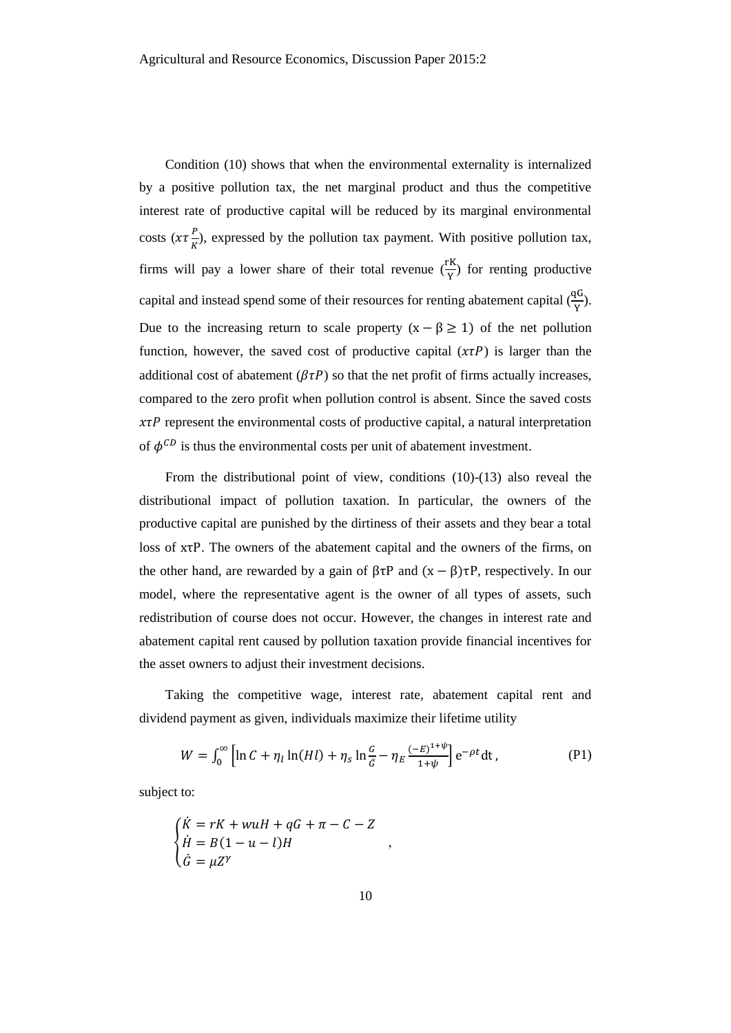Condition [\(10\)](#page-9-0) shows that when the environmental externality is internalized by a positive pollution tax, the net marginal product and thus the competitive interest rate of productive capital will be reduced by its marginal environmental costs  $(x\tau \frac{P}{U})$  $\frac{F}{K}$ ), expressed by the pollution tax payment. With positive pollution tax, firms will pay a lower share of their total revenue  $(\frac{rK}{Y})$  for renting productive capital and instead spend some of their resources for renting abatement capital  $(\frac{qG}{Y})$ . Due to the increasing return to scale property  $(x - \beta \ge 1)$  of the net pollution function, however, the saved cost of productive capital  $(\chi \tau P)$  is larger than the additional cost of abatement ( $\beta \tau P$ ) so that the net profit of firms actually increases, compared to the zero profit when pollution control is absent. Since the saved costs  $x\tau P$  represent the environmental costs of productive capital, a natural interpretation of  $\phi^{CD}$  is thus the environmental costs per unit of abatement investment.

From the distributional point of view, conditions [\(10\)-](#page-9-0)[\(13\)](#page-9-1) also reveal the distributional impact of pollution taxation. In particular, the owners of the productive capital are punished by the dirtiness of their assets and they bear a total loss of xτP. The owners of the abatement capital and the owners of the firms, on the other hand, are rewarded by a gain of  $\beta \tau P$  and  $(x - \beta) \tau P$ , respectively. In our model, where the representative agent is the owner of all types of assets, such redistribution of course does not occur. However, the changes in interest rate and abatement capital rent caused by pollution taxation provide financial incentives for the asset owners to adjust their investment decisions.

Taking the competitive wage, interest rate, abatement capital rent and dividend payment as given, individuals maximize their lifetime utility

$$
W = \int_0^\infty \left[ \ln C + \eta_l \ln(Hl) + \eta_s \ln \frac{G}{\bar{G}} - \eta_E \frac{(-E)^{1+\psi}}{1+\psi} \right] e^{-\rho t} dt,
$$
 (P1)

<span id="page-10-0"></span>,

subject to:

$$
\begin{cases}\n\dot{K} = rK + wuH + qG + \pi - C - Z \\
\dot{H} = B(1 - u - l)H \\
\dot{G} = \mu Z^{\gamma}\n\end{cases}
$$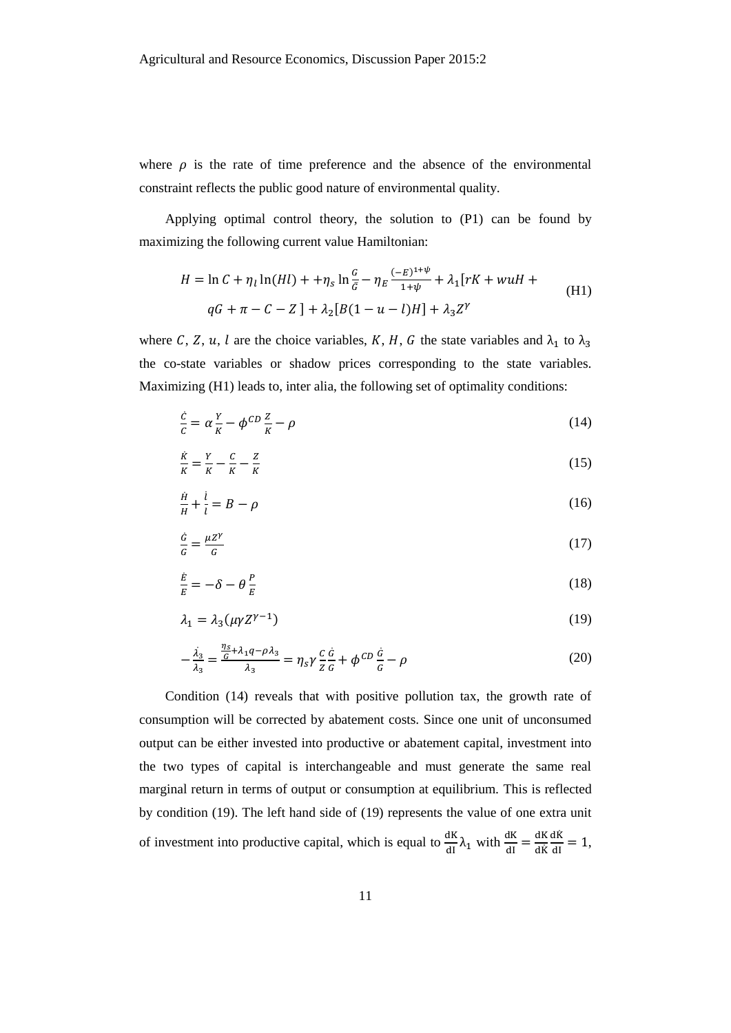where  $\rho$  is the rate of time preference and the absence of the environmental constraint reflects the public good nature of environmental quality.

Applying optimal control theory, the solution to [\(P1\)](#page-10-0) can be found by maximizing the following current value Hamiltonian:

<span id="page-11-0"></span>
$$
H = \ln C + \eta_l \ln(Hl) + + \eta_s \ln \frac{G}{\bar{G}} - \eta_E \frac{(-E)^{1+\psi}}{1+\psi} + \lambda_1 [rK + wuH +
$$
  
qG + \pi - C - Z] +  $\lambda_2 [B(1 - u - l)H] + \lambda_3 Z^{\gamma}$  (H1)

where C, Z, u, l are the choice variables, K, H, G the state variables and  $\lambda_1$  to  $\lambda_3$ the co-state variables or shadow prices corresponding to the state variables. Maximizing [\(H1\)](#page-11-0) leads to, inter alia, the following set of optimality conditions:

<span id="page-11-1"></span>
$$
\frac{\dot{c}}{c} = \alpha \frac{Y}{K} - \phi^{CD} \frac{Z}{K} - \rho \tag{14}
$$

$$
\frac{\dot{K}}{K} = \frac{Y}{K} - \frac{C}{K} - \frac{Z}{K}
$$
\n<sup>(15)</sup>

$$
\frac{\dot{H}}{H} + \frac{\dot{l}}{l} = B - \rho \tag{16}
$$

$$
\frac{\dot{G}}{G} = \frac{\mu Z^{\gamma}}{G} \tag{17}
$$

$$
\frac{\dot{E}}{E} = -\delta - \theta \frac{P}{E} \tag{18}
$$

<span id="page-11-2"></span>
$$
\lambda_1 = \lambda_3(\mu \gamma Z^{\gamma - 1}) \tag{19}
$$

<span id="page-11-3"></span>
$$
-\frac{\lambda_3}{\lambda_3} = \frac{\frac{\eta_S}{G} + \lambda_1 q - \rho \lambda_3}{\lambda_3} = \eta_S \gamma \frac{c}{Z} \frac{\dot{G}}{G} + \phi^{CD} \frac{\dot{G}}{G} - \rho
$$
\n(20)

Condition [\(14\)](#page-11-1) reveals that with positive pollution tax, the growth rate of consumption will be corrected by abatement costs. Since one unit of unconsumed output can be either invested into productive or abatement capital, investment into the two types of capital is interchangeable and must generate the same real marginal return in terms of output or consumption at equilibrium. This is reflected by condition [\(19\).](#page-11-2) The left hand side of [\(19\)](#page-11-2) represents the value of one extra unit of investment into productive capital, which is equal to  $\frac{dK}{dl} \lambda_1$  with  $\frac{dK}{dl} = \frac{dK}{dR}$ dK̇  $\frac{d\dot{K}}{dI} = 1,$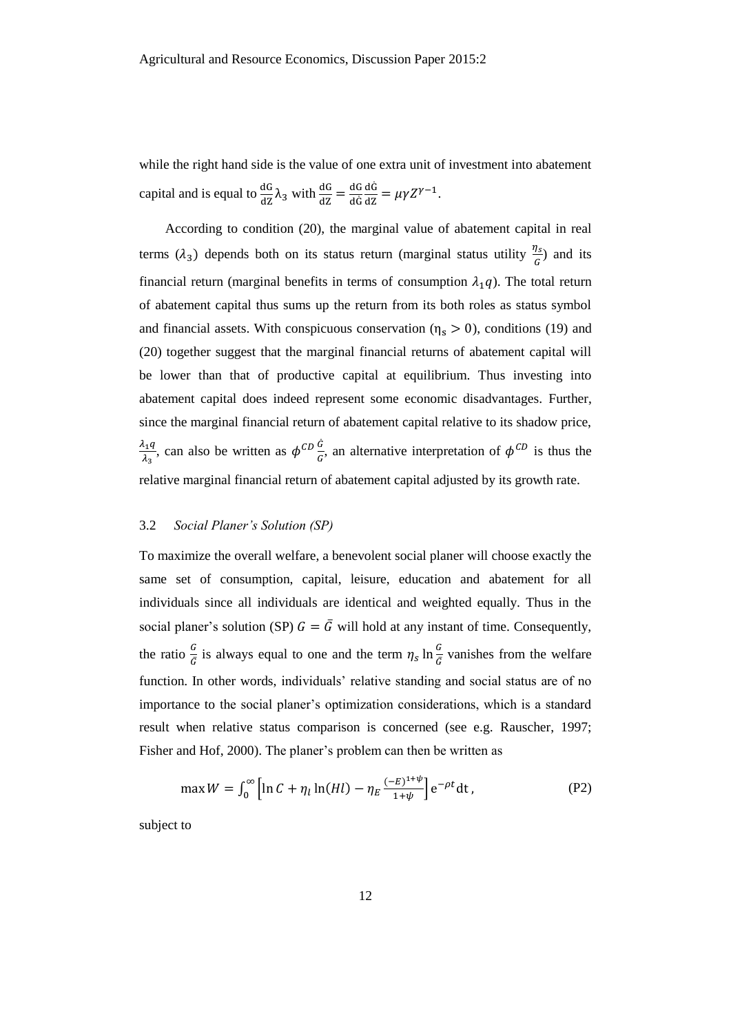while the right hand side is the value of one extra unit of investment into abatement capital and is equal to  $\frac{dG}{dz}\lambda_3$  with  $\frac{dG}{dz} = \frac{dG}{dG}$ dĠ  $\frac{\mathrm{d}\dot{\mathsf{G}}}{\mathrm{d}\mathsf{Z}} = \mu \gamma \mathsf{Z}^{\gamma-1}.$ 

According to condition [\(20\),](#page-11-3) the marginal value of abatement capital in real terms  $(\lambda_3)$  depends both on its status return (marginal status utility  $\frac{\eta_s}{G}$ ) and its financial return (marginal benefits in terms of consumption  $\lambda_1 q$ ). The total return of abatement capital thus sums up the return from its both roles as status symbol and financial assets. With conspicuous conservation ( $\eta_s > 0$ ), conditions [\(19\)](#page-11-2) and [\(20\)](#page-11-3) together suggest that the marginal financial returns of abatement capital will be lower than that of productive capital at equilibrium. Thus investing into abatement capital does indeed represent some economic disadvantages. Further, since the marginal financial return of abatement capital relative to its shadow price,  $\lambda_1q$  $\frac{\partial q_1 q}{\partial \lambda_3}$ , can also be written as  $\phi^{CD} \frac{d}{d\lambda_3}$  $\frac{G}{G}$ , an alternative interpretation of  $\phi^{CD}$  is thus the relative marginal financial return of abatement capital adjusted by its growth rate.

#### 3.2 *Social Planer's Solution (SP)*

To maximize the overall welfare, a benevolent social planer will choose exactly the same set of consumption, capital, leisure, education and abatement for all individuals since all individuals are identical and weighted equally. Thus in the social planer's solution (SP)  $G = \overline{G}$  will hold at any instant of time. Consequently, the ratio  $\frac{G}{\bar{G}}$  is always equal to one and the term  $\eta_s \ln \frac{G}{\bar{G}}$  vanishes from the welfare function. In other words, individuals' relative standing and social status are of no importance to the social planer's optimization considerations, which is a standard result when relative status comparison is concerned (see e.g. Rauscher, 1997; Fisher and Hof, 2000). The planer's problem can then be written as

$$
\max W = \int_0^\infty \left[ \ln C + \eta_l \ln(Hl) - \eta_E \frac{(-E)^{1+\psi}}{1+\psi} \right] e^{-\rho t} dt, \tag{P2}
$$

subject to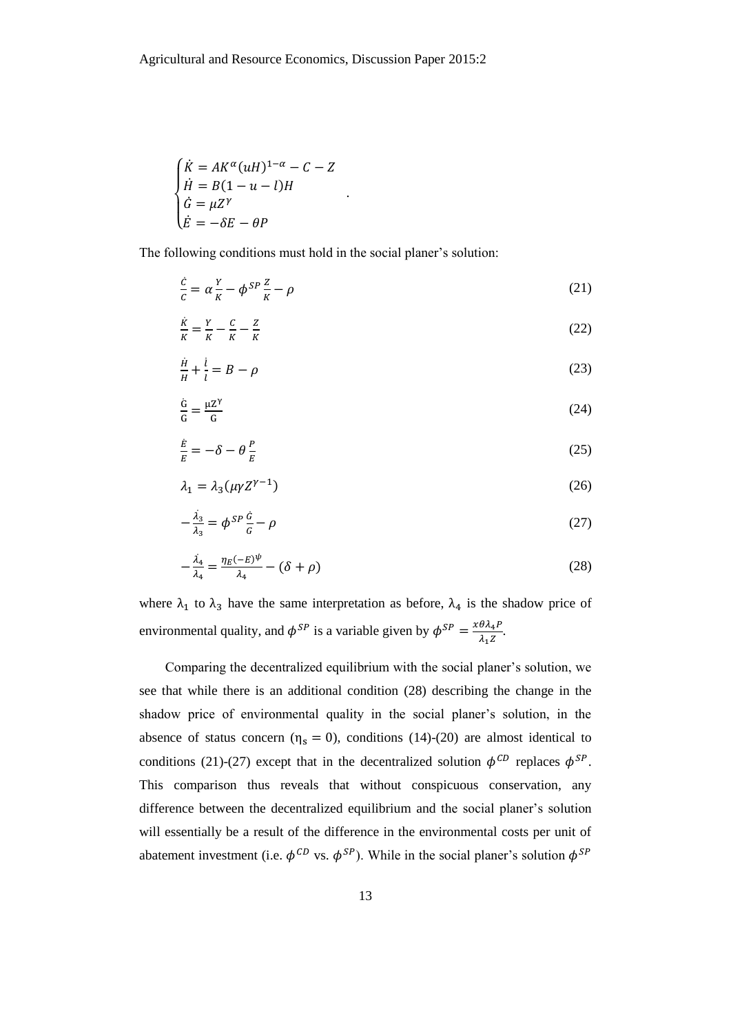$$
\begin{cases}\n\dot{K} = AK^{\alpha}(uH)^{1-\alpha} - C - Z \\
\dot{H} = B(1 - u - l)H \\
\dot{G} = \mu Z^{\gamma} \\
\dot{E} = -\delta E - \theta P\n\end{cases}
$$

The following conditions must hold in the social planer's solution:

<span id="page-13-3"></span><span id="page-13-1"></span>.

$$
\frac{\dot{c}}{c} = \alpha \frac{Y}{K} - \phi^{SP} \frac{Z}{K} - \rho \tag{21}
$$

$$
\frac{\dot{\kappa}}{K} = \frac{Y}{K} - \frac{C}{K} - \frac{Z}{K}
$$
\n(22)

$$
\frac{\dot{H}}{H} + \frac{\dot{l}}{l} = B - \rho \tag{23}
$$

$$
\frac{\dot{G}}{G} = \frac{\mu Z^{\gamma}}{G} \tag{24}
$$

$$
\frac{\dot{E}}{E} = -\delta - \theta \frac{P}{E} \tag{25}
$$

<span id="page-13-2"></span>
$$
\lambda_1 = \lambda_3(\mu \gamma Z^{\gamma - 1}) \tag{26}
$$

$$
-\frac{\lambda_3}{\lambda_3} = \phi^{SP} \frac{\dot{G}}{G} - \rho \tag{27}
$$

<span id="page-13-0"></span>
$$
-\frac{\lambda_4}{\lambda_4} = \frac{\eta_E(-E)^\psi}{\lambda_4} - (\delta + \rho) \tag{28}
$$

where  $\lambda_1$  to  $\lambda_3$  have the same interpretation as before,  $\lambda_4$  is the shadow price of environmental quality, and  $\phi^{SP}$  is a variable given by  $\phi^{SP} = \frac{x \theta \lambda_4 P}{x \lambda_4 P}$  $\frac{\partial \lambda_4 F}{\partial_1 Z}$ .

Comparing the decentralized equilibrium with the social planer's solution, we see that while there is an additional condition [\(28\)](#page-13-0) describing the change in the shadow price of environmental quality in the social planer's solution, in the absence of status concern ( $\eta_s = 0$ ), conditions [\(14\)-](#page-11-1)[\(20\)](#page-11-3) are almost identical to conditions [\(21\)](#page-13-1)[-\(27\)](#page-13-2) except that in the decentralized solution  $\phi^{CD}$  replaces  $\phi^{SP}$ . This comparison thus reveals that without conspicuous conservation, any difference between the decentralized equilibrium and the social planer's solution will essentially be a result of the difference in the environmental costs per unit of abatement investment (i.e.  $\phi^{CD}$  vs.  $\phi^{SP}$ ). While in the social planer's solution  $\phi^{SP}$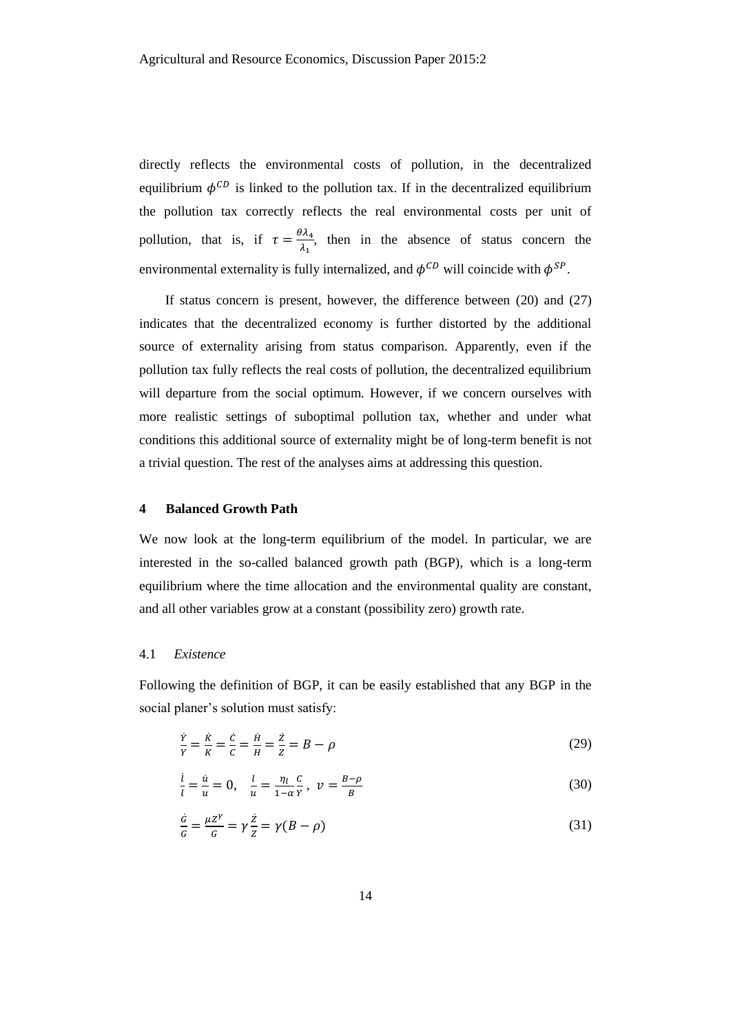directly reflects the environmental costs of pollution, in the decentralized equilibrium  $\phi^{CD}$  is linked to the pollution tax. If in the decentralized equilibrium the pollution tax correctly reflects the real environmental costs per unit of pollution, that is, if  $\tau = \frac{\theta \lambda_4}{1}$  $\frac{\lambda_1}{\lambda_1}$ , then in the absence of status concern the environmental externality is fully internalized, and  $\phi^{CD}$  will coincide with  $\phi^{SP}$ .

If status concern is present, however, the difference between [\(20\)](#page-11-3) and [\(27\)](#page-13-2) indicates that the decentralized economy is further distorted by the additional source of externality arising from status comparison. Apparently, even if the pollution tax fully reflects the real costs of pollution, the decentralized equilibrium will departure from the social optimum. However, if we concern ourselves with more realistic settings of suboptimal pollution tax, whether and under what conditions this additional source of externality might be of long-term benefit is not a trivial question. The rest of the analyses aims at addressing this question.

#### **4 Balanced Growth Path**

We now look at the long-term equilibrium of the model. In particular, we are interested in the so-called balanced growth path (BGP), which is a long-term equilibrium where the time allocation and the environmental quality are constant, and all other variables grow at a constant (possibility zero) growth rate.

# 4.1 *Existence*

Following the definition of BGP, it can be easily established that any BGP in the social planer's solution must satisfy:

<span id="page-14-0"></span>
$$
\frac{\dot{Y}}{Y} = \frac{\dot{K}}{K} = \frac{\dot{C}}{C} = \frac{\dot{H}}{H} = \frac{\dot{Z}}{Z} = B - \rho
$$
\n(29)

<span id="page-14-1"></span>
$$
\frac{i}{l} = \frac{\dot{u}}{u} = 0, \quad \frac{l}{u} = \frac{\eta_l}{1 - \alpha} \frac{c}{Y}, \quad \nu = \frac{B - \rho}{B} \tag{30}
$$

$$
\frac{\dot{G}}{G} = \frac{\mu Z^{\gamma}}{G} = \gamma \frac{\dot{Z}}{Z} = \gamma (B - \rho) \tag{31}
$$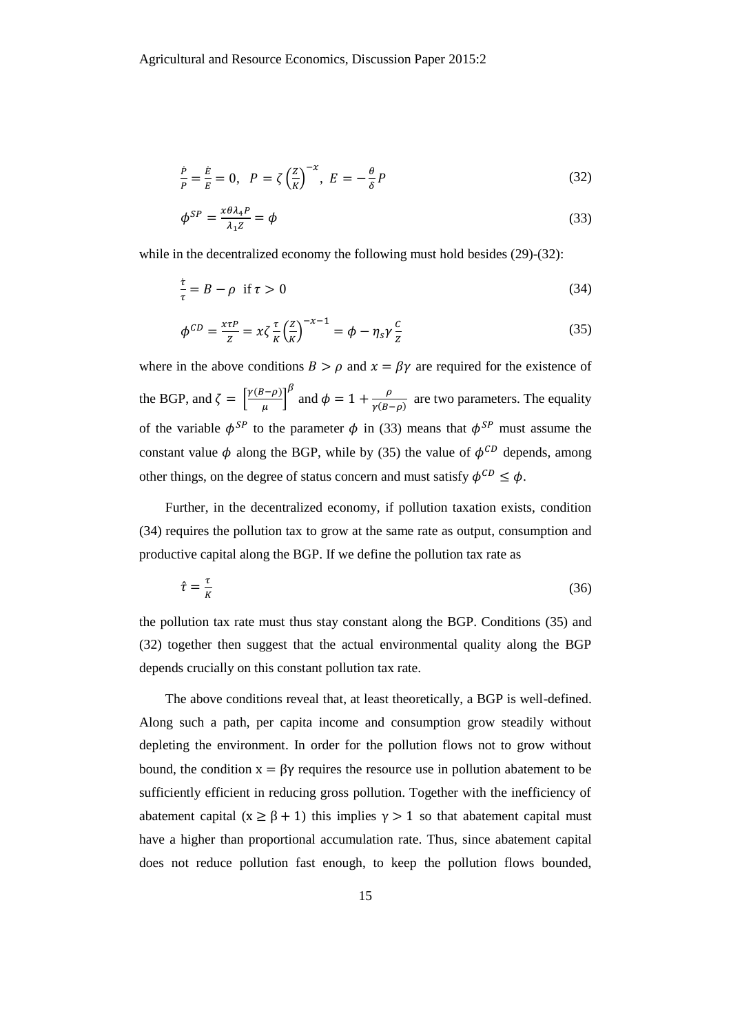<span id="page-15-0"></span>
$$
\frac{\dot{P}}{P} = \frac{\dot{E}}{E} = 0, \quad P = \zeta \left(\frac{Z}{K}\right)^{-\chi}, \quad E = -\frac{\theta}{\delta}P
$$
\n(32)

<span id="page-15-1"></span>
$$
\phi^{SP} = \frac{x\theta\lambda_4 P}{\lambda_1 Z} = \phi \tag{33}
$$

while in the decentralized economy the following must hold besides [\(29\)](#page-14-0)[-\(32\):](#page-15-0)

<span id="page-15-3"></span>
$$
\frac{\dot{\tau}}{\tau} = B - \rho \quad \text{if } \tau > 0 \tag{34}
$$

<span id="page-15-2"></span>
$$
\phi^{CD} = \frac{x\tau P}{Z} = x\zeta \frac{\tau}{K} \left(\frac{Z}{K}\right)^{-x-1} = \phi - \eta_s \gamma \frac{c}{Z}
$$
\n(35)

where in the above conditions  $B > \rho$  and  $x = \beta \gamma$  are required for the existence of the BGP, and  $\zeta = \left[\frac{\gamma(B-\rho)}{m}\right]$  $\left(\frac{\beta-\rho}{\mu}\right)^{\beta}$  and  $\phi=1+\frac{\rho}{\gamma(B-\rho)}$  $\frac{p}{\gamma(B-\rho)}$  are two parameters. The equality of the variable  $\phi^{SP}$  to the parameter  $\phi$  in [\(33\)](#page-15-1) means that  $\phi^{SP}$  must assume the constant value  $\phi$  along the BGP, while by [\(35\)](#page-15-2) the value of  $\phi^{CD}$  depends, among other things, on the degree of status concern and must satisfy  $\phi^{CD} \leq \phi$ .

Further, in the decentralized economy, if pollution taxation exists, condition [\(34\)](#page-15-3) requires the pollution tax to grow at the same rate as output, consumption and productive capital along the BGP. If we define the pollution tax rate as

$$
\hat{\tau} = \frac{\tau}{K} \tag{36}
$$

the pollution tax rate must thus stay constant along the BGP. Conditions [\(35\)](#page-15-2) and [\(32\)](#page-15-0) together then suggest that the actual environmental quality along the BGP depends crucially on this constant pollution tax rate.

The above conditions reveal that, at least theoretically, a BGP is well-defined. Along such a path, per capita income and consumption grow steadily without depleting the environment. In order for the pollution flows not to grow without bound, the condition  $x = \beta y$  requires the resource use in pollution abatement to be sufficiently efficient in reducing gross pollution. Together with the inefficiency of abatement capital ( $x \geq \beta + 1$ ) this implies  $\gamma > 1$  so that abatement capital must have a higher than proportional accumulation rate. Thus, since abatement capital does not reduce pollution fast enough, to keep the pollution flows bounded,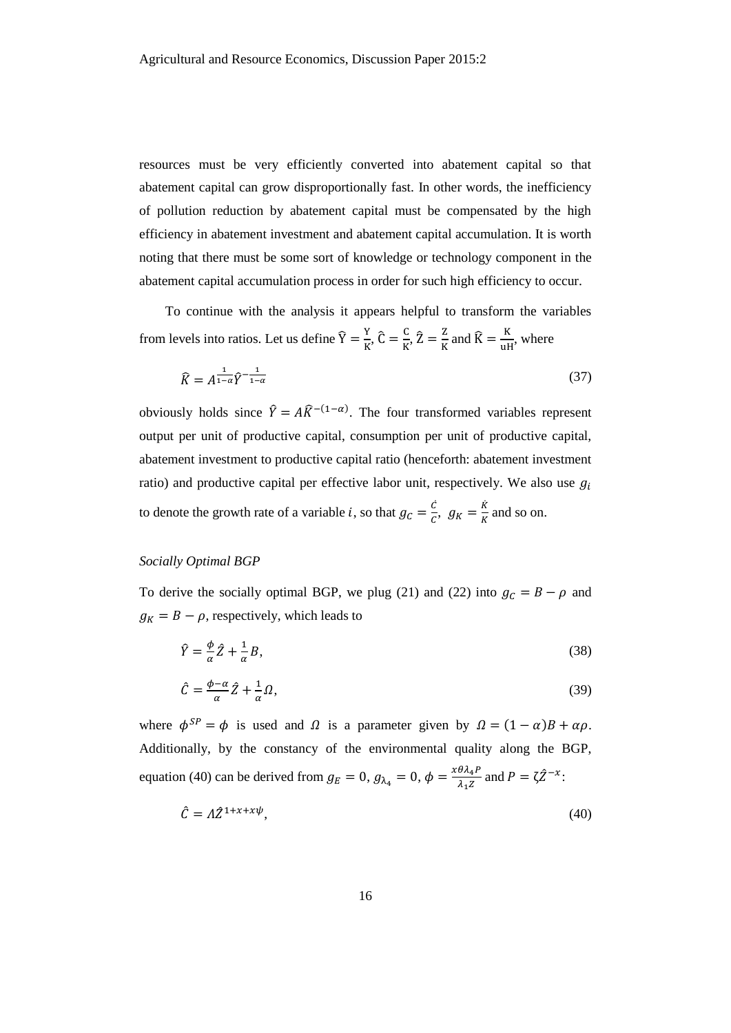resources must be very efficiently converted into abatement capital so that abatement capital can grow disproportionally fast. In other words, the inefficiency of pollution reduction by abatement capital must be compensated by the high efficiency in abatement investment and abatement capital accumulation. It is worth noting that there must be some sort of knowledge or technology component in the abatement capital accumulation process in order for such high efficiency to occur.

To continue with the analysis it appears helpful to transform the variables from levels into ratios. Let us define  $\hat{Y} = \frac{Y}{V}$  $\frac{Y}{K}$ ,  $\hat{C} = \frac{C}{K}$  $\frac{C}{K}$ ,  $\hat{Z} = \frac{Z}{K}$  $\frac{z}{k}$  and  $\widehat{K} = \frac{K}{u}$  $\frac{\mathbf{h}}{\mathbf{u}\mathbf{H}}$ , where

<span id="page-16-1"></span>
$$
\widehat{K} = A^{\frac{1}{1-\alpha}} \widehat{Y}^{-\frac{1}{1-\alpha}} \tag{37}
$$

obviously holds since  $\hat{Y} = A\hat{K}^{-(1-\alpha)}$ . The four transformed variables represent output per unit of productive capital, consumption per unit of productive capital, abatement investment to productive capital ratio (henceforth: abatement investment ratio) and productive capital per effective labor unit, respectively. We also use  $g_i$ to denote the growth rate of a variable *i*, so that  $g_c = \frac{\dot{c}}{c}$  $\frac{\dot{c}}{c}$ ,  $g_K = \frac{\dot{K}}{K}$  $\frac{R}{K}$  and so on.

# *Socially Optimal BGP*

To derive the socially optimal BGP, we plug [\(21\)](#page-13-1) and [\(22\)](#page-13-3) into  $g_c = B - \rho$  and  $g_K = B - \rho$ , respectively, which leads to

$$
\hat{Y} = \frac{\phi}{\alpha} \hat{Z} + \frac{1}{\alpha} B,\tag{38}
$$

<span id="page-16-2"></span>
$$
\hat{C} = \frac{\phi - \alpha}{\alpha} \hat{Z} + \frac{1}{\alpha} \Omega,\tag{39}
$$

where  $\phi^{SP} = \phi$  is used and  $\Omega$  is a parameter given by  $\Omega = (1 - \alpha)B + \alpha \rho$ . Additionally, by the constancy of the environmental quality along the BGP, equation [\(40\)](#page-16-0) can be derived from  $g_E = 0$ ,  $g_{\lambda_4} = 0$ ,  $\phi = \frac{x \theta \lambda_4 P}{\lambda_1 Z}$  $\frac{\theta \lambda_4 P}{\lambda_1 Z}$  and  $P = \zeta \hat{Z}^{-x}$ :

<span id="page-16-0"></span>
$$
\hat{C} = \Lambda \hat{Z}^{1+x+xy},\tag{40}
$$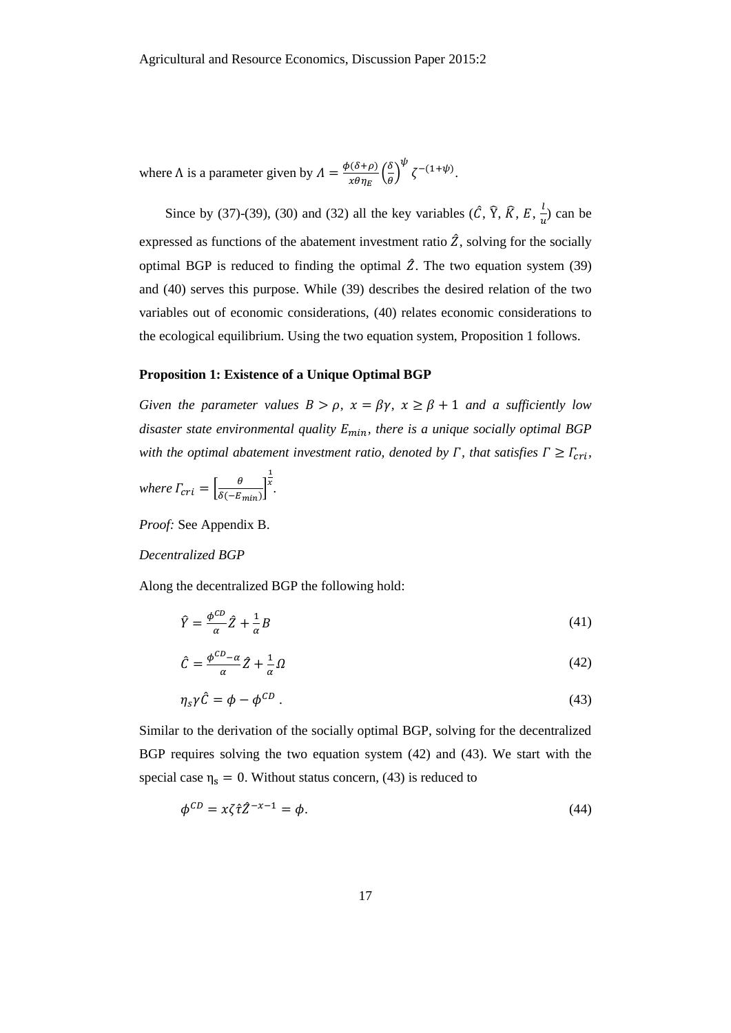where  $\Lambda$  is a parameter given by  $\Lambda = \frac{\phi(\delta + \rho)}{n^2}$  $\frac{\delta(\delta+\rho)}{x\theta\eta_E}\Big(\frac{\delta}{\theta}$  $\left(\frac{\delta}{\theta}\right)^{\psi} \zeta^{-(1+\psi)}.$ 

Since by [\(37\)](#page-16-1)[-\(39\),](#page-16-2) [\(30\)](#page-14-1) and [\(32\)](#page-15-0) all the key variables ( $\hat{C}$ ,  $\hat{Y}$ ,  $\hat{R}$ ,  $E$ ,  $\frac{1}{2}$  $\frac{v}{u}$ ) can be expressed as functions of the abatement investment ratio  $\hat{Z}$ , solving for the socially optimal BGP is reduced to finding the optimal  $\hat{Z}$ . The two equation system [\(39\)](#page-16-2) and [\(40\)](#page-16-0) serves this purpose. While [\(39\)](#page-16-2) describes the desired relation of the two variables out of economic considerations, [\(40\)](#page-16-0) relates economic considerations to the ecological equilibrium. Using the two equation system, Proposition 1 follows.

#### **Proposition 1: Existence of a Unique Optimal BGP**

*Given the parameter values*  $B > \rho$ *,*  $x = \beta \gamma$ *,*  $x \ge \beta + 1$  *and a sufficiently low disaster state environmental quality*  $E_{min}$ *, there is a unique socially optimal BGP with the optimal abatement investment ratio, denoted by*  $\Gamma$ *, that satisfies*  $\Gamma \geq \Gamma_{\text{cri}}$ ,

where 
$$
\Gamma_{cri} = \left[\frac{\theta}{\delta(-E_{min})}\right]^{\frac{1}{x}}
$$
.

*Proof:* See Appendix B.

#### *Decentralized BGP*

Along the decentralized BGP the following hold:

<span id="page-17-2"></span>
$$
\hat{Y} = \frac{\phi^{CD}}{\alpha} \hat{Z} + \frac{1}{\alpha} B \tag{41}
$$

<span id="page-17-0"></span>
$$
\hat{C} = \frac{\phi^{CD} - \alpha}{\alpha} \hat{Z} + \frac{1}{\alpha} \Omega \tag{42}
$$

<span id="page-17-1"></span>
$$
\eta_s \gamma \hat{C} = \phi - \phi^{CD} \tag{43}
$$

Similar to the derivation of the socially optimal BGP, solving for the decentralized BGP requires solving the two equation system [\(42\)](#page-17-0) and [\(43\).](#page-17-1) We start with the special case  $\eta_s = 0$ . Without status concern, [\(43\)](#page-17-1) is reduced to

$$
\phi^{CD} = x\zeta \hat{\tau} \hat{Z}^{-x-1} = \phi. \tag{44}
$$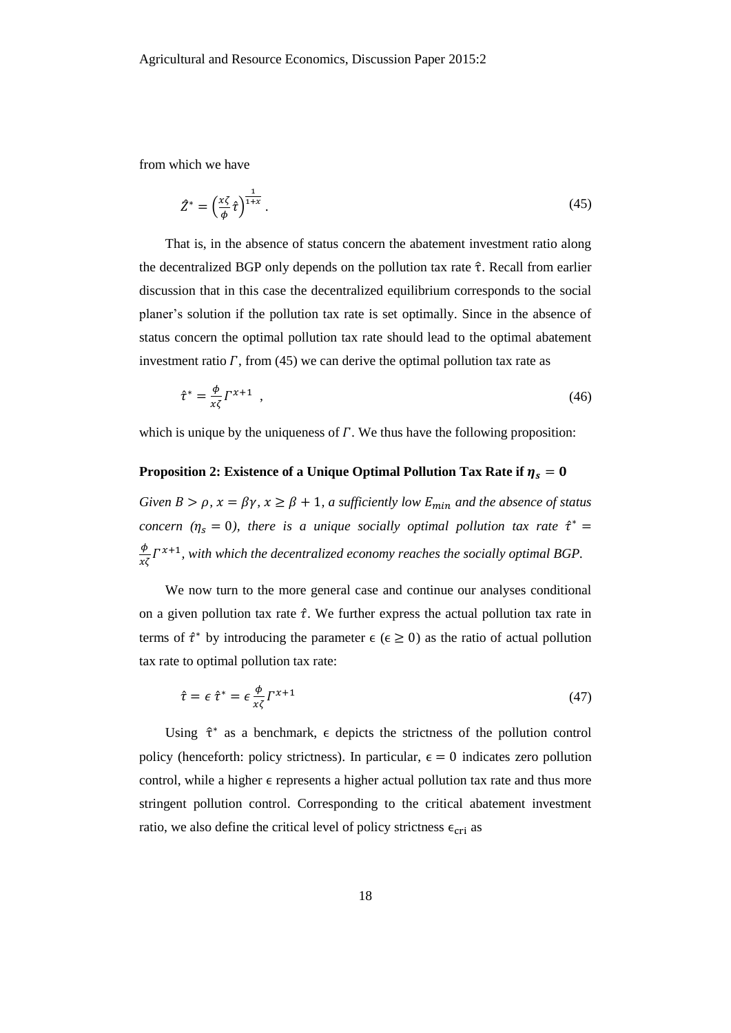from which we have

<span id="page-18-0"></span>
$$
\hat{Z}^* = \left(\frac{x\zeta}{\phi}\hat{\tau}\right)^{\frac{1}{1+x}}.\tag{45}
$$

That is, in the absence of status concern the abatement investment ratio along the decentralized BGP only depends on the pollution tax rate  $\hat{\tau}$ . Recall from earlier discussion that in this case the decentralized equilibrium corresponds to the social planer's solution if the pollution tax rate is set optimally. Since in the absence of status concern the optimal pollution tax rate should lead to the optimal abatement investment ratio  $\Gamma$ , from [\(45\)](#page-18-0) we can derive the optimal pollution tax rate as

$$
\hat{\tau}^* = \frac{\phi}{x\zeta} \Gamma^{x+1} \tag{46}
$$

which is unique by the uniqueness of  $\Gamma$ . We thus have the following proposition:

# **Proposition 2: Existence of a Unique Optimal Pollution Tax Rate if**  $\eta_s = 0$

*Given B* >  $\rho$ ,  $x = \beta \gamma$ ,  $x \ge \beta + 1$ , *a sufficiently low E<sub>min</sub> and the absence of status concern* ( $\eta_s = 0$ ), there is a unique socially optimal pollution tax rate  $\hat{\tau}^* =$  $\frac{\phi}{x\zeta} \Gamma^{x+1}$ , with which the decentralized economy reaches the socially optimal BGP.

We now turn to the more general case and continue our analyses conditional on a given pollution tax rate  $\hat{\tau}$ . We further express the actual pollution tax rate in terms of  $\hat{\tau}^*$  by introducing the parameter  $\epsilon$  ( $\epsilon \ge 0$ ) as the ratio of actual pollution tax rate to optimal pollution tax rate:

$$
\hat{\tau} = \epsilon \hat{\tau}^* = \epsilon \frac{\phi}{x\zeta} \Gamma^{x+1} \tag{47}
$$

Using  $\hat{\tau}^*$  as a benchmark,  $\epsilon$  depicts the strictness of the pollution control policy (henceforth: policy strictness). In particular,  $\epsilon = 0$  indicates zero pollution control, while a higher  $\epsilon$  represents a higher actual pollution tax rate and thus more stringent pollution control. Corresponding to the critical abatement investment ratio, we also define the critical level of policy strictness  $\epsilon_{\rm cri}$  as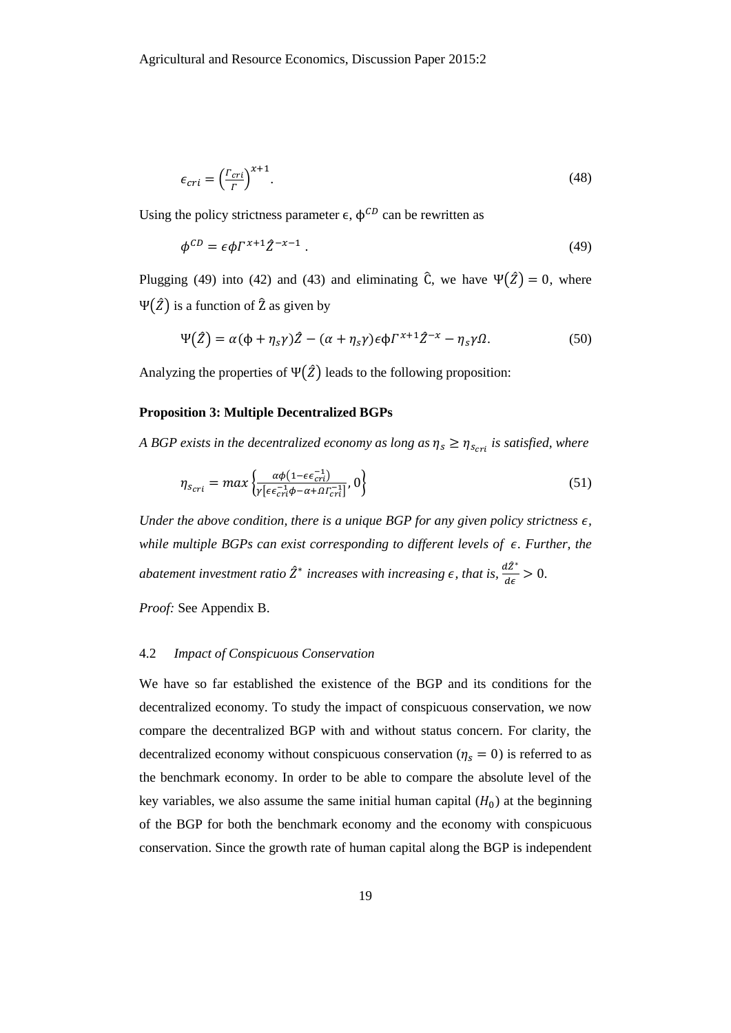$$
\epsilon_{cri} = \left(\frac{\Gamma_{cri}}{\Gamma}\right)^{\chi+1}.\tag{48}
$$

Using the policy strictness parameter  $\epsilon$ ,  $\phi^{CD}$  can be rewritten as

<span id="page-19-0"></span>
$$
\phi^{CD} = \epsilon \phi \Gamma^{x+1} \hat{Z}^{-x-1} \,. \tag{49}
$$

Plugging [\(49\)](#page-19-0) into [\(42\)](#page-17-0) and [\(43\)](#page-17-1) and eliminating  $\hat{C}$ , we have  $\Psi(\hat{Z}) = 0$ , where Ψ $(2)$  is a function of  $2$  as given by

<span id="page-19-2"></span>
$$
\Psi(\hat{Z}) = \alpha(\phi + \eta_s \gamma)\hat{Z} - (\alpha + \eta_s \gamma)\epsilon \phi \Gamma^{x+1} \hat{Z}^{-x} - \eta_s \gamma \Omega. \tag{50}
$$

Analyzing the properties of  $\Psi(\hat{Z})$  leads to the following proposition:

# **Proposition 3: Multiple Decentralized BGPs**

*A BGP exists in the decentralized economy as long as*  $\eta_s \geq \eta_{s_{cri}}$  *is satisfied, where* 

<span id="page-19-1"></span>
$$
\eta_{s_{cri}} = \max \left\{ \frac{\alpha \phi (1 - \epsilon \epsilon_{cri}^{-1})}{\gamma \left[ \epsilon \epsilon_{cri}^{-1} \phi - \alpha + \Omega r_{cri}^{-1} \right]}, 0 \right\} \tag{51}
$$

*Under the above condition, there is a unique BGP for any given policy strictness*  $\epsilon$ *, while multiple BGPs can exist corresponding to different levels of . Further, the abatement investment ratio*  $\hat{Z}^*$  increases with increasing  $\epsilon$ , that is,  $\frac{d\hat{Z}^*}{dz}$  $\frac{dz}{d\epsilon} > 0.$ 

*Proof:* See Appendix B.

#### 4.2 *Impact of Conspicuous Conservation*

We have so far established the existence of the BGP and its conditions for the decentralized economy. To study the impact of conspicuous conservation, we now compare the decentralized BGP with and without status concern. For clarity, the decentralized economy without conspicuous conservation ( $\eta_s = 0$ ) is referred to as the benchmark economy. In order to be able to compare the absolute level of the key variables, we also assume the same initial human capital  $(H_0)$  at the beginning of the BGP for both the benchmark economy and the economy with conspicuous conservation. Since the growth rate of human capital along the BGP is independent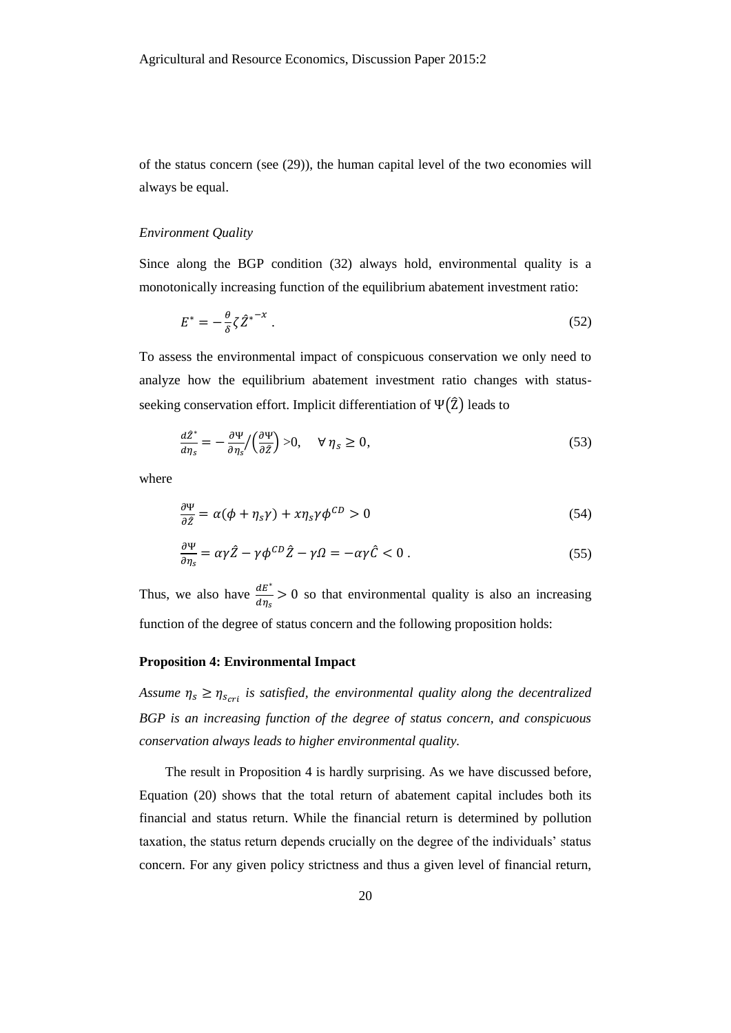of the status concern (see [\(29\)\)](#page-14-0), the human capital level of the two economies will always be equal.

# *Environment Quality*

Since along the BGP condition [\(32\)](#page-15-0) always hold, environmental quality is a monotonically increasing function of the equilibrium abatement investment ratio:

<span id="page-20-1"></span>
$$
E^* = -\frac{\theta}{\delta} \zeta \hat{Z}^{*^{-x}} \,. \tag{52}
$$

To assess the environmental impact of conspicuous conservation we only need to analyze how the equilibrium abatement investment ratio changes with statusseeking conservation effort. Implicit differentiation of  $\Psi(\hat{Z})$  leads to

<span id="page-20-0"></span>
$$
\frac{d\hat{Z}^*}{d\eta_s} = -\frac{\partial \Psi}{\partial \eta_s} / \left(\frac{\partial \Psi}{\partial \hat{Z}}\right) > 0, \quad \forall \ \eta_s \ge 0,\tag{53}
$$

where

$$
\frac{\partial \Psi}{\partial \hat{z}} = \alpha(\phi + \eta_s \gamma) + x \eta_s \gamma \phi^{CD} > 0
$$
\n(54)

$$
\frac{\partial \Psi}{\partial \eta_s} = \alpha \gamma \hat{Z} - \gamma \phi^{CD} \hat{Z} - \gamma \Omega = -\alpha \gamma \hat{C} < 0 \tag{55}
$$

Thus, we also have  $\frac{dE^*}{dx}$  $rac{dE}{d\eta_s} > 0$  so that environmental quality is also an increasing function of the degree of status concern and the following proposition holds:

# **Proposition 4: Environmental Impact**

Assume  $\eta_s \geq \eta_{s_{cri}}$  is satisfied, the environmental quality along the decentralized *BGP is an increasing function of the degree of status concern, and conspicuous conservation always leads to higher environmental quality.* 

The result in Proposition 4 is hardly surprising. As we have discussed before, Equation [\(20\)](#page-11-3) shows that the total return of abatement capital includes both its financial and status return. While the financial return is determined by pollution taxation, the status return depends crucially on the degree of the individuals' status concern. For any given policy strictness and thus a given level of financial return,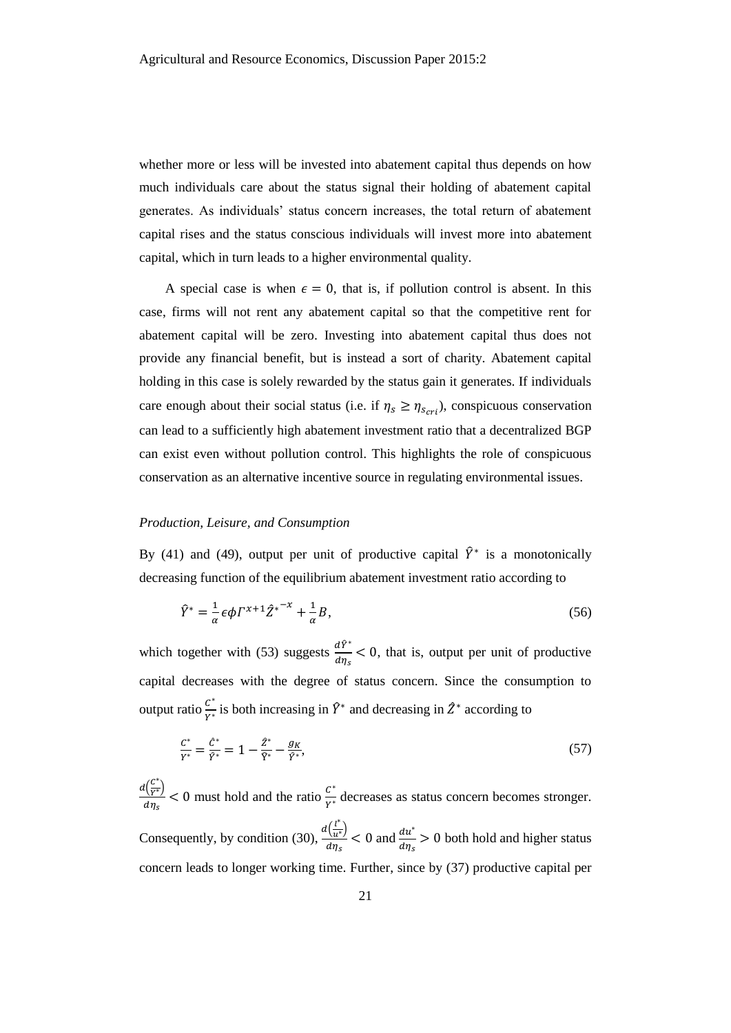whether more or less will be invested into abatement capital thus depends on how much individuals care about the status signal their holding of abatement capital generates. As individuals' status concern increases, the total return of abatement capital rises and the status conscious individuals will invest more into abatement capital, which in turn leads to a higher environmental quality.

A special case is when  $\epsilon = 0$ , that is, if pollution control is absent. In this case, firms will not rent any abatement capital so that the competitive rent for abatement capital will be zero. Investing into abatement capital thus does not provide any financial benefit, but is instead a sort of charity. Abatement capital holding in this case is solely rewarded by the status gain it generates. If individuals care enough about their social status (i.e. if  $\eta_s \geq \eta_{s_{cri}}$ ), conspicuous conservation can lead to a sufficiently high abatement investment ratio that a decentralized BGP can exist even without pollution control. This highlights the role of conspicuous conservation as an alternative incentive source in regulating environmental issues.

# *Production, Leisure, and Consumption*

By [\(41\)](#page-17-2) and [\(49\),](#page-19-0) output per unit of productive capital  $\hat{Y}^*$  is a monotonically decreasing function of the equilibrium abatement investment ratio according to

$$
\hat{Y}^* = \frac{1}{\alpha} \epsilon \phi \Gamma^{x+1} \hat{Z}^{x-x} + \frac{1}{\alpha} B,\tag{56}
$$

which together with [\(53\)](#page-20-0) suggests  $\frac{d\hat{Y}^*}{dx}$  $rac{aT}{d\eta_s}$  < 0, that is, output per unit of productive capital decreases with the degree of status concern. Since the consumption to output ratio  $\frac{C^*}{\nu^*}$  $\frac{C^*}{Y^*}$  is both increasing in  $\hat{Y}^*$  and decreasing in  $\hat{Z}^*$  according to

$$
\frac{c^*}{Y^*} = \frac{\hat{c}^*}{\hat{Y}^*} = 1 - \frac{\hat{Z}^*}{\hat{Y}^*} - \frac{g_K}{\hat{Y}^*},\tag{57}
$$

 $d\left(\frac{C^*}{V^*}\right)$  $\frac{c}{Y^*}$  $\frac{l(\frac{C}{V^*})}{d\eta_s}$  < 0 must hold and the ratio  $\frac{C^*}{Y^*}$  $\frac{C}{Y^*}$  decreases as status concern becomes stronger. Consequently, by condition [\(30\),](#page-14-1)  $\frac{d\left(\frac{l^{*}}{u^{*}}\right)}{du^{*}}$  $\frac{v}{u^*}$  $\frac{d\left(\frac{t}{u^*}\right)}{d\eta_s}$  < 0 and  $\frac{du^*}{d\eta_s}$  > 0 both hold and higher status concern leads to longer working time. Further, since by [\(37\)](#page-16-1) productive capital per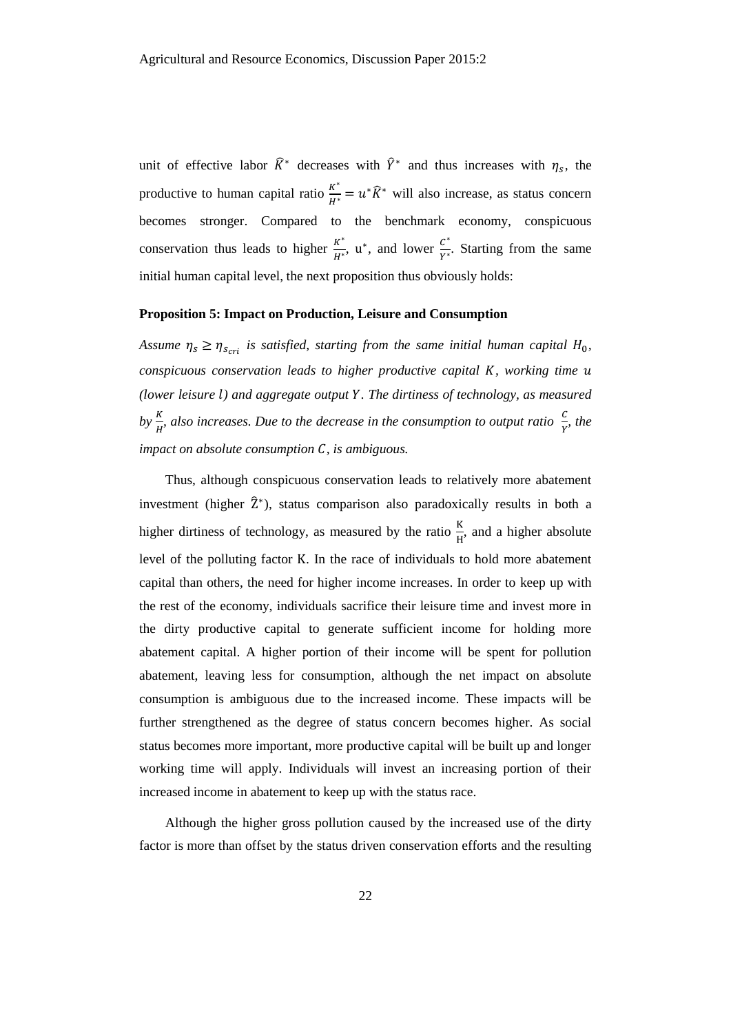unit of effective labor  $\hat{K}^*$  decreases with  $\hat{Y}^*$  and thus increases with  $\eta_s$ , the productive to human capital ratio  $\frac{K^*}{H^*} = u^* \hat{K}^*$  will also increase, as status concern becomes stronger. Compared to the benchmark economy, conspicuous conservation thus leads to higher  $\frac{K^*}{\mu^*}$  $\frac{K^*}{H^*}$ , u<sup>\*</sup>, and lower  $\frac{C^*}{Y^*}$  $\frac{c}{Y^*}$ . Starting from the same initial human capital level, the next proposition thus obviously holds:

# **Proposition 5: Impact on Production, Leisure and Consumption**

*Assume*  $\eta_s \geq \eta_{scri}$  *is satisfied, starting from the same initial human capital*  $H_0$ , *conspicuous conservation leads to higher productive capital , working time (lower leisure ) and aggregate output . The dirtiness of technology, as measured*  by  $\frac{K}{H}$ , also increases. Due to the decrease in the consumption to output ratio  $\frac{C}{Y}$ , the *impact on absolute consumption , is ambiguous.*

Thus, although conspicuous conservation leads to relatively more abatement investment (higher  $\hat{Z}^*$ ), status comparison also paradoxically results in both a higher dirtiness of technology, as measured by the ratio  $\frac{K}{H}$ , and a higher absolute level of the polluting factor K. In the race of individuals to hold more abatement capital than others, the need for higher income increases. In order to keep up with the rest of the economy, individuals sacrifice their leisure time and invest more in the dirty productive capital to generate sufficient income for holding more abatement capital. A higher portion of their income will be spent for pollution abatement, leaving less for consumption, although the net impact on absolute consumption is ambiguous due to the increased income. These impacts will be further strengthened as the degree of status concern becomes higher. As social status becomes more important, more productive capital will be built up and longer working time will apply. Individuals will invest an increasing portion of their increased income in abatement to keep up with the status race.

Although the higher gross pollution caused by the increased use of the dirty factor is more than offset by the status driven conservation efforts and the resulting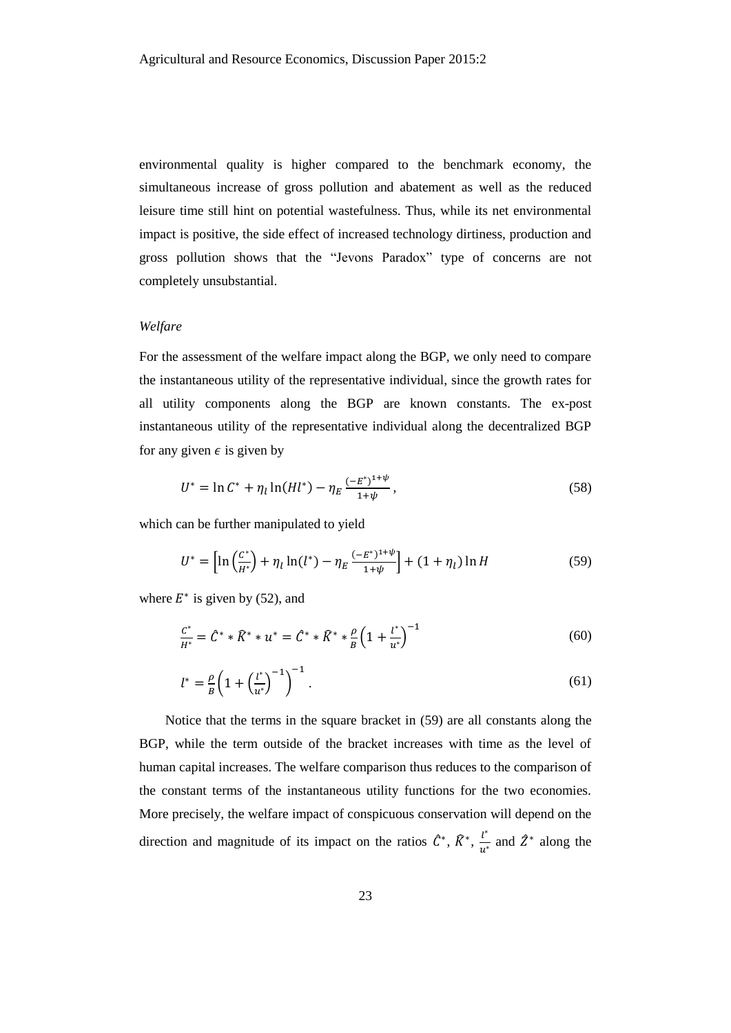environmental quality is higher compared to the benchmark economy, the simultaneous increase of gross pollution and abatement as well as the reduced leisure time still hint on potential wastefulness. Thus, while its net environmental impact is positive, the side effect of increased technology dirtiness, production and gross pollution shows that the "Jevons Paradox" type of concerns are not completely unsubstantial.

# *Welfare*

For the assessment of the welfare impact along the BGP, we only need to compare the instantaneous utility of the representative individual, since the growth rates for all utility components along the BGP are known constants. The ex-post instantaneous utility of the representative individual along the decentralized BGP for any given  $\epsilon$  is given by

$$
U^* = \ln C^* + \eta_l \ln(Hl^*) - \eta_E \frac{(-E^*)^{1+\psi}}{1+\psi},
$$
\n(58)

which can be further manipulated to yield

<span id="page-23-0"></span>
$$
U^* = \left[ \ln \left( \frac{C^*}{H^*} \right) + \eta_l \ln(l^*) - \eta_E \frac{(-E^*)^{1+\psi}}{1+\psi} \right] + (1+\eta_l) \ln H \tag{59}
$$

where  $E^*$  is given by [\(52\),](#page-20-1) and

$$
\frac{C^*}{H^*} = \hat{C}^* * \hat{K}^* * u^* = \hat{C}^* * \hat{K}^* * \frac{\rho}{B} \left( 1 + \frac{l^*}{u^*} \right)^{-1} \tag{60}
$$

$$
l^* = \frac{\rho}{B} \left( 1 + \left(\frac{l^*}{u^*}\right)^{-1} \right)^{-1} . \tag{61}
$$

Notice that the terms in the square bracket in [\(59\)](#page-23-0) are all constants along the BGP, while the term outside of the bracket increases with time as the level of human capital increases. The welfare comparison thus reduces to the comparison of the constant terms of the instantaneous utility functions for the two economies. More precisely, the welfare impact of conspicuous conservation will depend on the direction and magnitude of its impact on the ratios  $\hat{C}^*, \hat{K}^*, \frac{l^*}{l^*}$  $\frac{l^*}{u^*}$  and  $\hat{Z}^*$  along the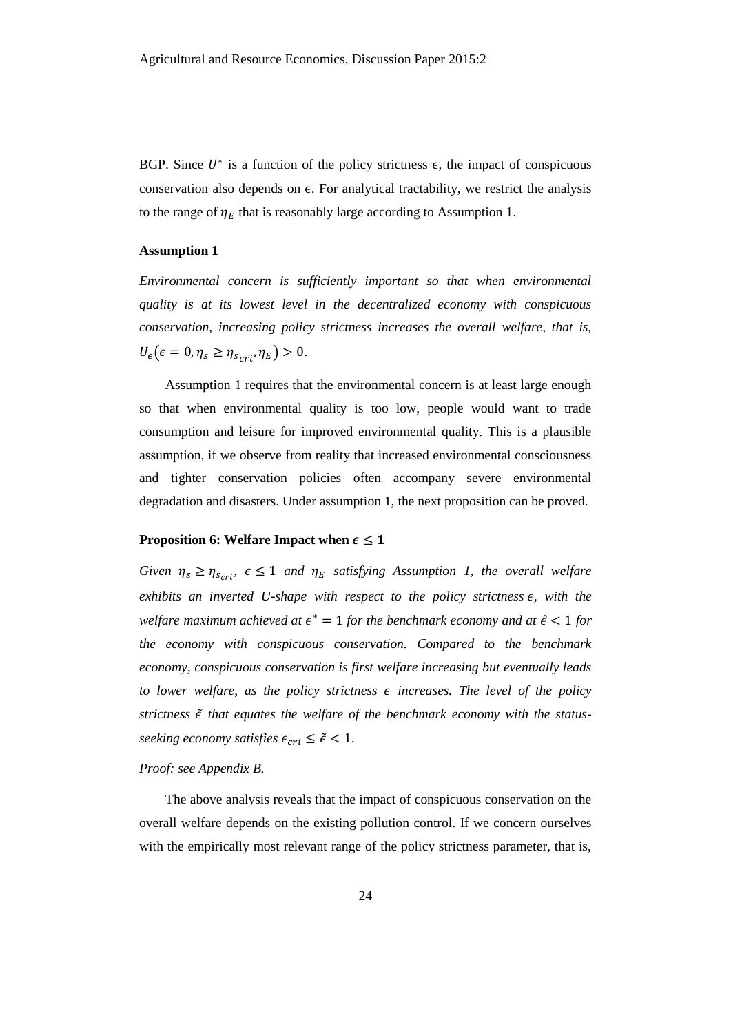BGP. Since  $U^*$  is a function of the policy strictness  $\epsilon$ , the impact of conspicuous conservation also depends on  $\epsilon$ . For analytical tractability, we restrict the analysis to the range of  $\eta_F$  that is reasonably large according to Assumption 1.

# **Assumption 1**

*Environmental concern is sufficiently important so that when environmental quality is at its lowest level in the decentralized economy with conspicuous conservation, increasing policy strictness increases the overall welfare, that is,*   $U_{\epsilon}$  ( $\epsilon = 0$ ,  $\eta_s \geq \eta_{scri}$ ,  $\eta_E$ ) > 0.

Assumption 1 requires that the environmental concern is at least large enough so that when environmental quality is too low, people would want to trade consumption and leisure for improved environmental quality. This is a plausible assumption, if we observe from reality that increased environmental consciousness and tighter conservation policies often accompany severe environmental degradation and disasters. Under assumption 1, the next proposition can be proved.

#### **Proposition 6: Welfare Impact when**  $\epsilon \leq 1$

*Given*  $\eta_s \geq \eta_{scri}$ ,  $\epsilon \leq 1$  *and*  $\eta_E$  *satisfying Assumption 1, the overall welfare*  $exhibits$  an inverted U-shape with respect to the policy strictness  $\epsilon$ , with the *welfare maximum achieved at*  $\epsilon^* = 1$  *for the benchmark economy and at*  $\hat{\epsilon} < 1$  *for the economy with conspicuous conservation. Compared to the benchmark economy, conspicuous conservation is first welfare increasing but eventually leads to lower welfare, as the policy strictness*  $\epsilon$  *increases. The level of the policy strictness* ̃*that equates the welfare of the benchmark economy with the statusseeking economy satisfies*  $\epsilon_{cri} \leq \tilde{\epsilon} < 1$ .

*Proof: see Appendix B.* 

The above analysis reveals that the impact of conspicuous conservation on the overall welfare depends on the existing pollution control. If we concern ourselves with the empirically most relevant range of the policy strictness parameter, that is,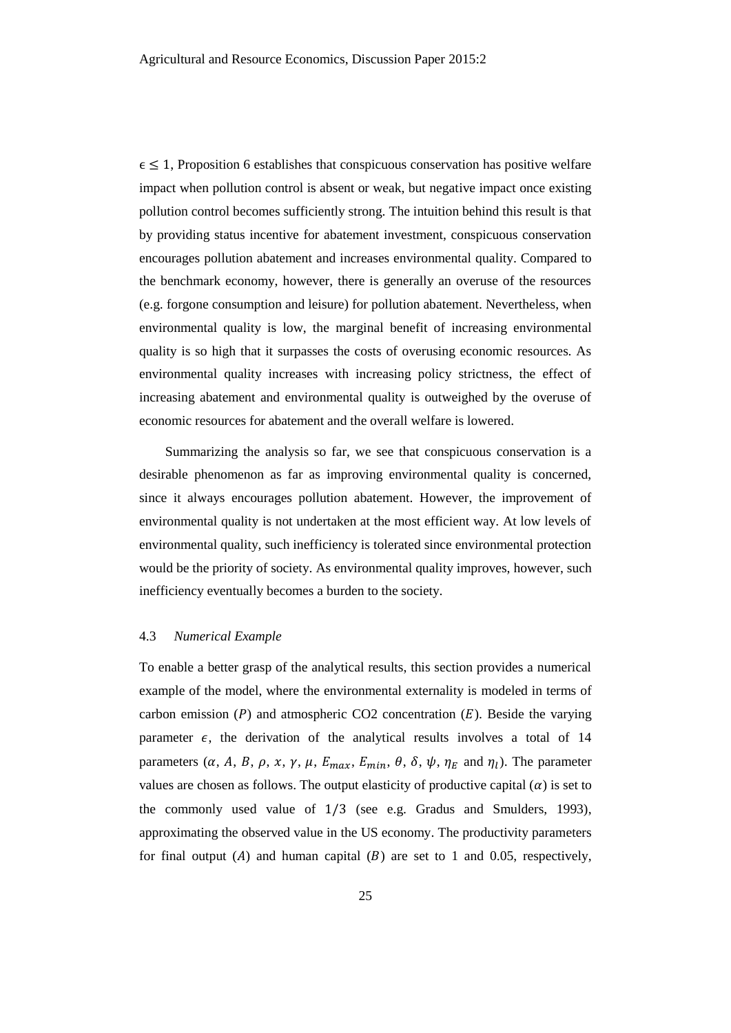$\epsilon \leq 1$ , Proposition 6 establishes that conspicuous conservation has positive welfare impact when pollution control is absent or weak, but negative impact once existing pollution control becomes sufficiently strong. The intuition behind this result is that by providing status incentive for abatement investment, conspicuous conservation encourages pollution abatement and increases environmental quality. Compared to the benchmark economy, however, there is generally an overuse of the resources (e.g. forgone consumption and leisure) for pollution abatement. Nevertheless, when environmental quality is low, the marginal benefit of increasing environmental quality is so high that it surpasses the costs of overusing economic resources. As environmental quality increases with increasing policy strictness, the effect of increasing abatement and environmental quality is outweighed by the overuse of economic resources for abatement and the overall welfare is lowered.

Summarizing the analysis so far, we see that conspicuous conservation is a desirable phenomenon as far as improving environmental quality is concerned, since it always encourages pollution abatement. However, the improvement of environmental quality is not undertaken at the most efficient way. At low levels of environmental quality, such inefficiency is tolerated since environmental protection would be the priority of society. As environmental quality improves, however, such inefficiency eventually becomes a burden to the society.

# 4.3 *Numerical Example*

To enable a better grasp of the analytical results, this section provides a numerical example of the model, where the environmental externality is modeled in terms of carbon emission  $(P)$  and atmospheric CO2 concentration  $(E)$ . Beside the varying parameter  $\epsilon$ , the derivation of the analytical results involves a total of 14 parameters  $(\alpha, A, B, \rho, x, \gamma, \mu, E_{max}, E_{min}, \theta, \delta, \psi, \eta_E$  and  $\eta_l$ ). The parameter values are chosen as follows. The output elasticity of productive capital  $(\alpha)$  is set to the commonly used value of 1/3 (see e.g. Gradus and Smulders, 1993), approximating the observed value in the US economy. The productivity parameters for final output (A) and human capital (B) are set to 1 and 0.05, respectively,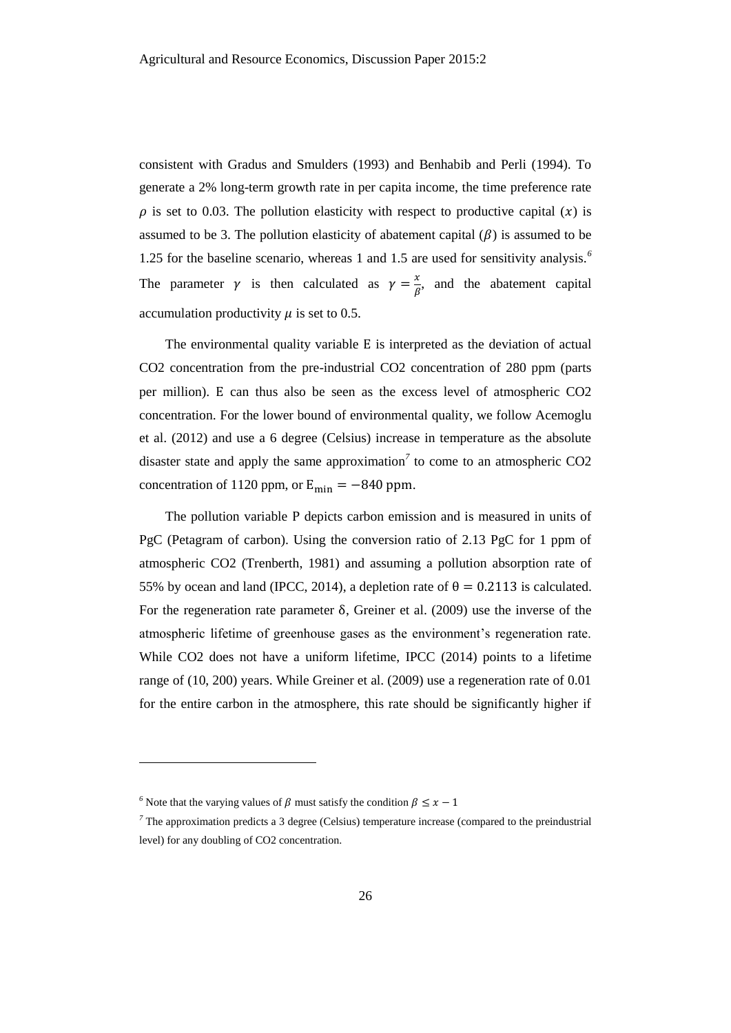consistent with Gradus and Smulders (1993) and Benhabib and Perli (1994). To generate a 2% long-term growth rate in per capita income, the time preference rate  $\rho$  is set to 0.03. The pollution elasticity with respect to productive capital (x) is assumed to be 3. The pollution elasticity of abatement capital  $(\beta)$  is assumed to be 1.25 for the baseline scenario, whereas 1 and 1.5 are used for sensitivity analysis.*<sup>6</sup>* The parameter  $\gamma$  is then calculated as  $\gamma = \frac{x}{a}$  $\frac{\lambda}{\beta}$ , and the abatement capital accumulation productivity  $\mu$  is set to 0.5.

The environmental quality variable E is interpreted as the deviation of actual CO2 concentration from the pre-industrial CO2 concentration of 280 ppm (parts per million). E can thus also be seen as the excess level of atmospheric CO2 concentration. For the lower bound of environmental quality, we follow Acemoglu et al. (2012) and use a 6 degree (Celsius) increase in temperature as the absolute disaster state and apply the same approximation*<sup>7</sup>* to come to an atmospheric CO2 concentration of 1120 ppm, or  $E_{\text{min}} = -840$  ppm.

The pollution variable P depicts carbon emission and is measured in units of PgC (Petagram of carbon). Using the conversion ratio of 2.13 PgC for 1 ppm of atmospheric CO2 (Trenberth, 1981) and assuming a pollution absorption rate of 55% by ocean and land (IPCC, 2014), a depletion rate of  $\theta = 0.2113$  is calculated. For the regeneration rate parameter δ, Greiner et al. (2009) use the inverse of the atmospheric lifetime of greenhouse gases as the environment's regeneration rate. While CO2 does not have a uniform lifetime, IPCC (2014) points to a lifetime range of (10, 200) years. While Greiner et al. (2009) use a regeneration rate of 0.01 for the entire carbon in the atmosphere, this rate should be significantly higher if

 $\overline{\phantom{a}}$ 

<sup>&</sup>lt;sup>6</sup> Note that the varying values of  $\beta$  must satisfy the condition  $\beta \leq x - 1$ 

*<sup>7</sup>* The approximation predicts a 3 degree (Celsius) temperature increase (compared to the preindustrial level) for any doubling of CO2 concentration.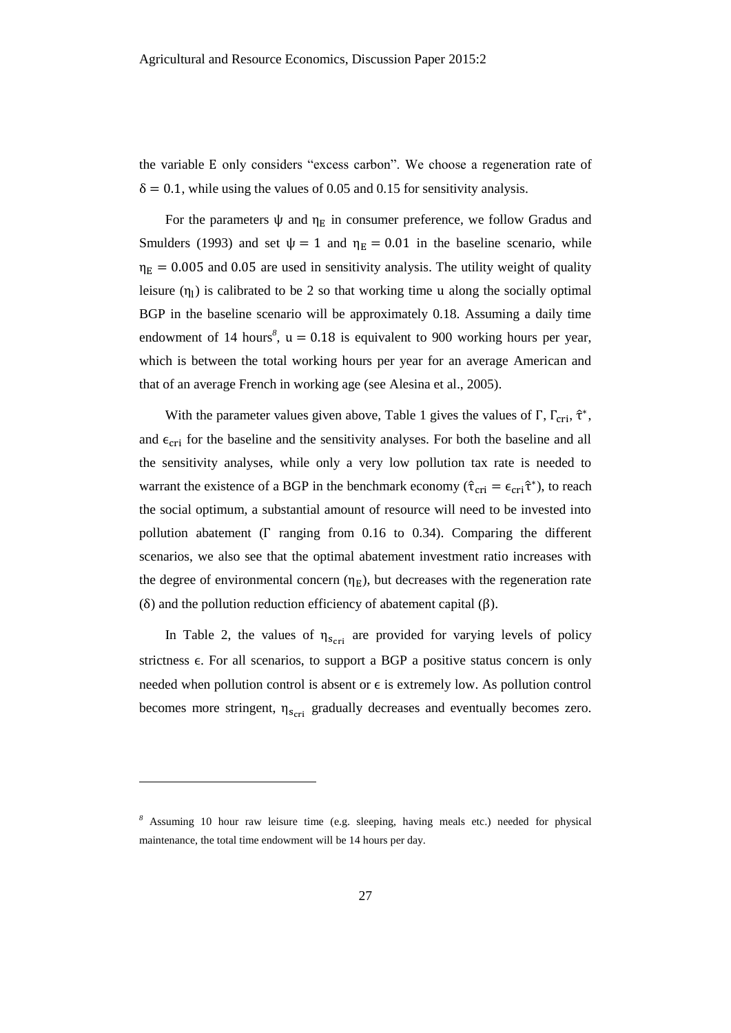the variable E only considers "excess carbon". We choose a regeneration rate of  $\delta = 0.1$ , while using the values of 0.05 and 0.15 for sensitivity analysis.

For the parameters  $\psi$  and  $\eta_E$  in consumer preference, we follow Gradus and Smulders (1993) and set  $\psi = 1$  and  $\eta_E = 0.01$  in the baseline scenario, while  $\eta_{\rm E} = 0.005$  and 0.05 are used in sensitivity analysis. The utility weight of quality leisure  $(\eta_1)$  is calibrated to be 2 so that working time u along the socially optimal BGP in the baseline scenario will be approximately 0.18. Assuming a daily time endowment of 14 hours<sup>8</sup>,  $u = 0.18$  is equivalent to 900 working hours per year, which is between the total working hours per year for an average American and that of an average French in working age (see Alesina et al., 2005).

With the parameter values given above, Table 1 gives the values of  $\Gamma$ ,  $\Gamma_{\text{cri}}$ ,  $\hat{\tau}^*$ , and  $\epsilon_{\text{cri}}$  for the baseline and the sensitivity analyses. For both the baseline and all the sensitivity analyses, while only a very low pollution tax rate is needed to warrant the existence of a BGP in the benchmark economy ( $\hat{\tau}_{cri} = \epsilon_{cri} \hat{\tau}^*$ ), to reach the social optimum, a substantial amount of resource will need to be invested into pollution abatement ( $\Gamma$  ranging from 0.16 to 0.34). Comparing the different scenarios, we also see that the optimal abatement investment ratio increases with the degree of environmental concern  $(\eta_E)$ , but decreases with the regeneration rate (δ) and the pollution reduction efficiency of abatement capital (β).

In Table 2, the values of  $\eta_{scri}$  are provided for varying levels of policy strictness  $\epsilon$ . For all scenarios, to support a BGP a positive status concern is only needed when pollution control is absent or  $\epsilon$  is extremely low. As pollution control becomes more stringent,  $\eta_{s_{\text{cri}}}$  gradually decreases and eventually becomes zero.

l

*<sup>8</sup>* Assuming 10 hour raw leisure time (e.g. sleeping, having meals etc.) needed for physical maintenance, the total time endowment will be 14 hours per day.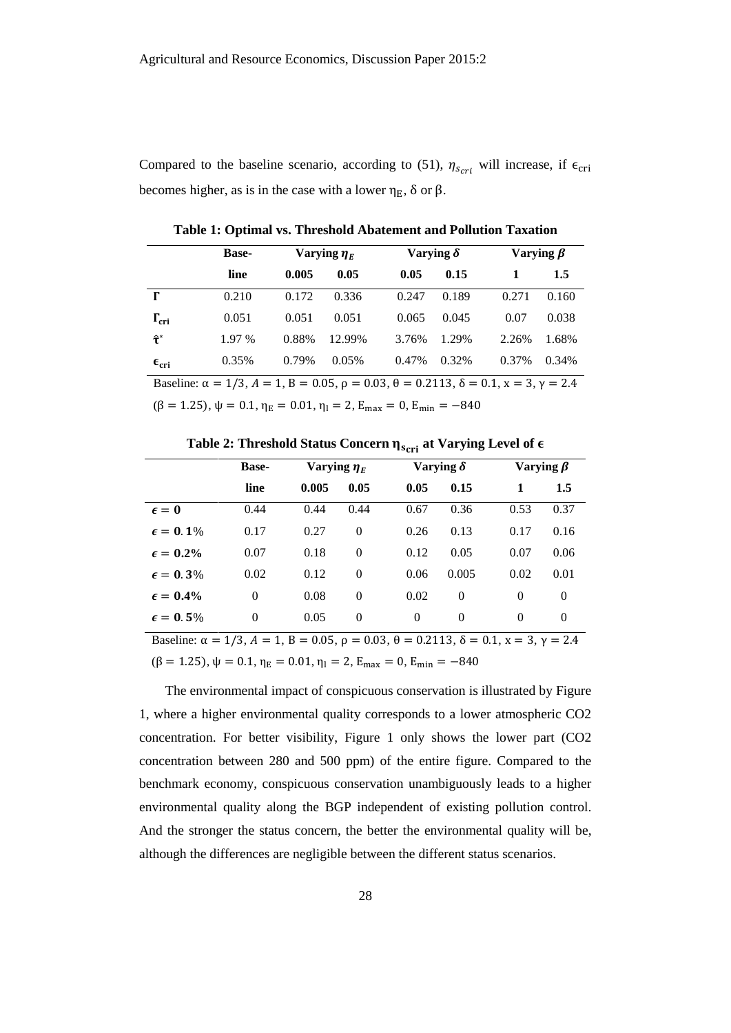Compared to the baseline scenario, according to [\(51\),](#page-19-1)  $\eta_{scri}$  will increase, if  $\epsilon_{cri}$ becomes higher, as is in the case with a lower  $\eta_E$ ,  $\delta$  or  $\beta$ .

|                                                                                                                                 | <b>Base-</b> | Varying $\eta_F$ |        | Varying $\delta$ |       |       | Varying $\beta$ |  |  |  |
|---------------------------------------------------------------------------------------------------------------------------------|--------------|------------------|--------|------------------|-------|-------|-----------------|--|--|--|
|                                                                                                                                 | line         | 0.005            | 0.05   | 0.05             | 0.15  |       | 1.5             |  |  |  |
| г                                                                                                                               | 0.210        | 0.172            | 0.336  | 0.247            | 0.189 | 0.271 | 0.160           |  |  |  |
| $\Gamma_{\rm cri}$                                                                                                              | 0.051        | 0.051            | 0.051  | 0.065            | 0.045 | 0.07  | 0.038           |  |  |  |
| $\mathbf{\hat{t}}^*$                                                                                                            | 1.97 %       | 0.88%            | 12.99% | 3.76%            | 1.29% | 2.26% | 1.68%           |  |  |  |
| $\epsilon_{\rm cri}$                                                                                                            | 0.35%        | 0.79%            | 0.05%  | 0.47%            | 0.32% | 0.37% | 0.34%           |  |  |  |
| Baseline: $\alpha = 1/3$ , $A = 1$ , $B = 0.05$ , $\rho = 0.03$ , $\theta = 0.2113$ , $\delta = 0.1$ , $x = 3$ , $\gamma = 2.4$ |              |                  |        |                  |       |       |                 |  |  |  |

**Table 1: Optimal vs. Threshold Abatement and Pollution Taxation**

 $(\beta = 1.25), \psi = 0.1, \eta_E = 0.01, \eta_1 = 2, E_{max} = 0, E_{min} = -840$ 

Table 2: Threshold Status Concern  $\eta_{s_\text{cri}}$  at Varying Level of  $\epsilon$ 

|                                                                                                                                 | <b>Base-</b> | Varying $\eta_E$ |          | Varying $\delta$ |          | Varying $\beta$ |          |  |  |  |
|---------------------------------------------------------------------------------------------------------------------------------|--------------|------------------|----------|------------------|----------|-----------------|----------|--|--|--|
|                                                                                                                                 | line         | 0.005            | 0.05     | 0.05             | 0.15     | 1               | 1.5      |  |  |  |
| $\epsilon = 0$                                                                                                                  | 0.44         | 0.44             | 0.44     | 0.67             | 0.36     | 0.53            | 0.37     |  |  |  |
| $\epsilon = 0.1\%$                                                                                                              | 0.17         | 0.27             | $\theta$ | 0.26             | 0.13     | 0.17            | 0.16     |  |  |  |
| $\epsilon = 0.2\%$                                                                                                              | 0.07         | 0.18             | $\theta$ | 0.12             | 0.05     | 0.07            | 0.06     |  |  |  |
| $\epsilon = 0.3\%$                                                                                                              | 0.02         | 0.12             | $\theta$ | 0.06             | 0.005    | 0.02            | 0.01     |  |  |  |
| $\epsilon = 0.4\%$                                                                                                              | $\theta$     | 0.08             | $\theta$ | 0.02             | $\Omega$ | $\Omega$        | 0        |  |  |  |
| $\epsilon = 0.5\%$                                                                                                              | $\theta$     | 0.05             | $\theta$ | $\theta$         | $\Omega$ | $\theta$        | $\Omega$ |  |  |  |
| Baseline: $\alpha = 1/3$ , $A = 1$ , $B = 0.05$ , $\rho = 0.03$ , $\theta = 0.2113$ , $\delta = 0.1$ , $x = 3$ , $\gamma = 2.4$ |              |                  |          |                  |          |                 |          |  |  |  |

 $(\beta = 1.25), \psi = 0.1, \eta_E = 0.01, \eta_I = 2, E_{max} = 0, E_{min} = -840$ 

The environmental impact of conspicuous conservation is illustrated by Figure 1, where a higher environmental quality corresponds to a lower atmospheric CO2 concentration. For better visibility, Figure 1 only shows the lower part (CO2 concentration between 280 and 500 ppm) of the entire figure. Compared to the benchmark economy, conspicuous conservation unambiguously leads to a higher environmental quality along the BGP independent of existing pollution control. And the stronger the status concern, the better the environmental quality will be, although the differences are negligible between the different status scenarios.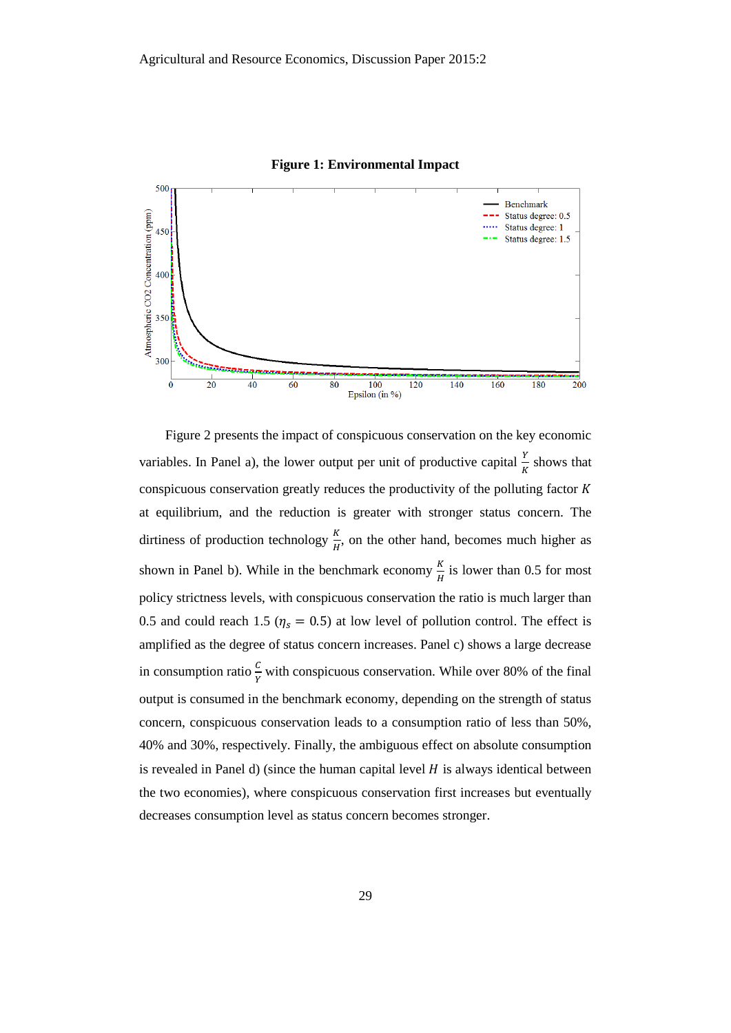

**Figure 1: Environmental Impact**

Figure 2 presents the impact of conspicuous conservation on the key economic variables. In Panel a), the lower output per unit of productive capital  $\frac{Y}{K}$  shows that conspicuous conservation greatly reduces the productivity of the polluting factor  $K$ at equilibrium, and the reduction is greater with stronger status concern. The dirtiness of production technology  $\frac{K}{H}$ , on the other hand, becomes much higher as shown in Panel b). While in the benchmark economy  $\frac{K}{H}$  is lower than 0.5 for most policy strictness levels, with conspicuous conservation the ratio is much larger than 0.5 and could reach 1.5 ( $\eta_s = 0.5$ ) at low level of pollution control. The effect is amplified as the degree of status concern increases. Panel c) shows a large decrease in consumption ratio  $\frac{c}{v}$  $\frac{c}{\gamma}$  with conspicuous conservation. While over 80% of the final output is consumed in the benchmark economy, depending on the strength of status concern, conspicuous conservation leads to a consumption ratio of less than 50%, 40% and 30%, respectively. Finally, the ambiguous effect on absolute consumption is revealed in Panel d) (since the human capital level  $H$  is always identical between the two economies), where conspicuous conservation first increases but eventually decreases consumption level as status concern becomes stronger.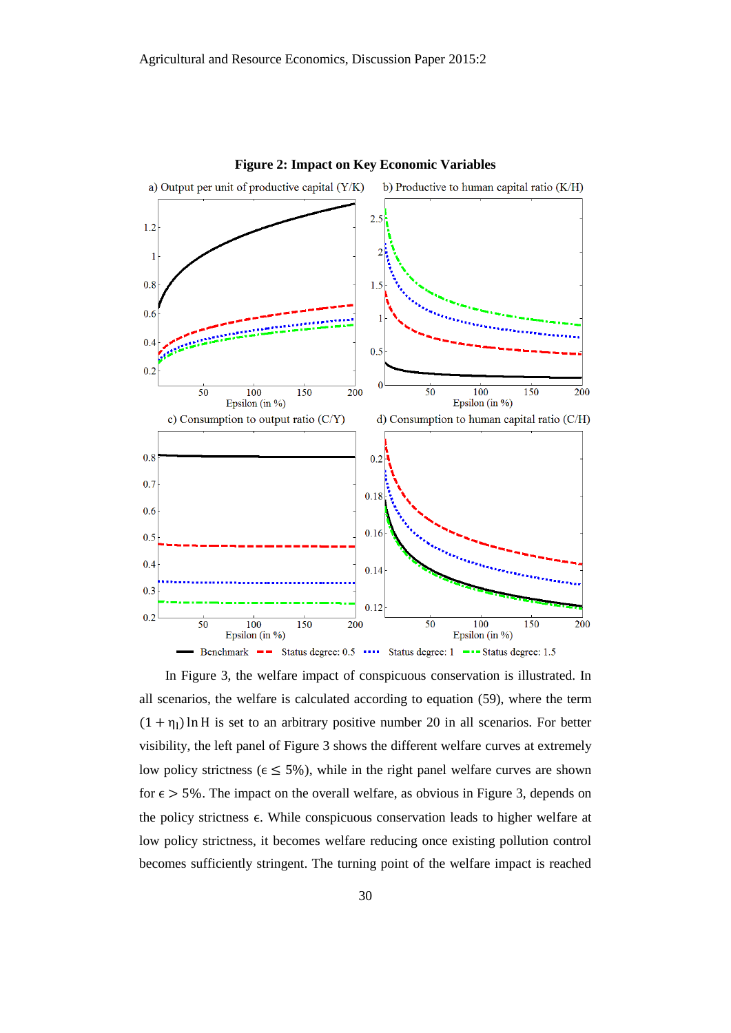

**Figure 2: Impact on Key Economic Variables**

In Figure 3, the welfare impact of conspicuous conservation is illustrated. In all scenarios, the welfare is calculated according to equation [\(59\),](#page-23-0) where the term  $(1 + \eta_1) \ln H$  is set to an arbitrary positive number 20 in all scenarios. For better visibility, the left panel of Figure 3 shows the different welfare curves at extremely low policy strictness ( $\epsilon \leq 5\%$ ), while in the right panel welfare curves are shown for  $\epsilon$  > 5%. The impact on the overall welfare, as obvious in Figure 3, depends on the policy strictness ∈. While conspicuous conservation leads to higher welfare at low policy strictness, it becomes welfare reducing once existing pollution control becomes sufficiently stringent. The turning point of the welfare impact is reached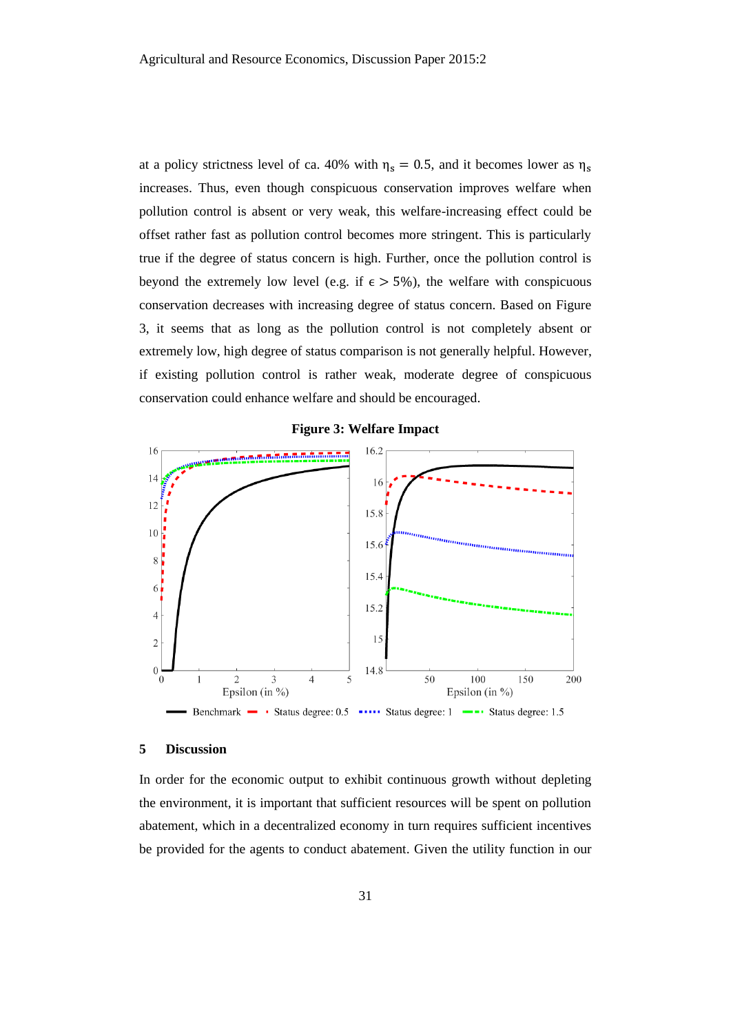at a policy strictness level of ca. 40% with  $\eta_s = 0.5$ , and it becomes lower as  $\eta_s$ increases. Thus, even though conspicuous conservation improves welfare when pollution control is absent or very weak, this welfare-increasing effect could be offset rather fast as pollution control becomes more stringent. This is particularly true if the degree of status concern is high. Further, once the pollution control is beyond the extremely low level (e.g. if  $\epsilon > 5\%$ ), the welfare with conspicuous conservation decreases with increasing degree of status concern. Based on Figure 3, it seems that as long as the pollution control is not completely absent or extremely low, high degree of status comparison is not generally helpful. However, if existing pollution control is rather weak, moderate degree of conspicuous conservation could enhance welfare and should be encouraged.





#### **5 Discussion**

In order for the economic output to exhibit continuous growth without depleting the environment, it is important that sufficient resources will be spent on pollution abatement, which in a decentralized economy in turn requires sufficient incentives be provided for the agents to conduct abatement. Given the utility function in our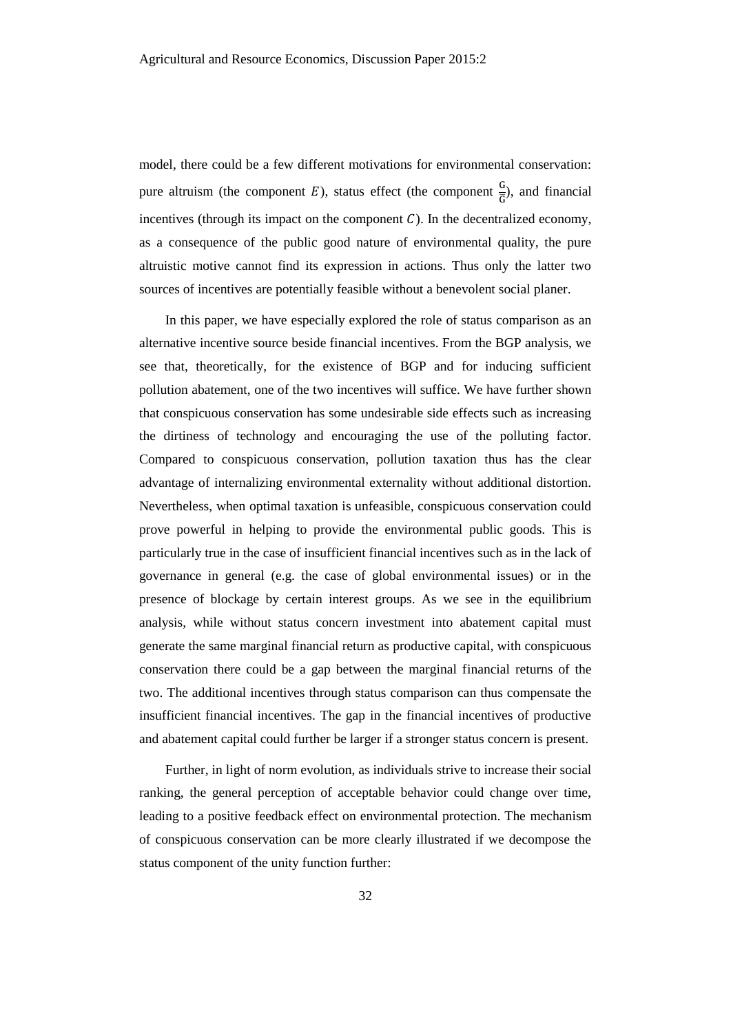model, there could be a few different motivations for environmental conservation: pure altruism (the component E), status effect (the component  $\frac{G}{G}$ ), and financial incentives (through its impact on the component  $C$ ). In the decentralized economy, as a consequence of the public good nature of environmental quality, the pure altruistic motive cannot find its expression in actions. Thus only the latter two sources of incentives are potentially feasible without a benevolent social planer.

In this paper, we have especially explored the role of status comparison as an alternative incentive source beside financial incentives. From the BGP analysis, we see that, theoretically, for the existence of BGP and for inducing sufficient pollution abatement, one of the two incentives will suffice. We have further shown that conspicuous conservation has some undesirable side effects such as increasing the dirtiness of technology and encouraging the use of the polluting factor. Compared to conspicuous conservation, pollution taxation thus has the clear advantage of internalizing environmental externality without additional distortion. Nevertheless, when optimal taxation is unfeasible, conspicuous conservation could prove powerful in helping to provide the environmental public goods. This is particularly true in the case of insufficient financial incentives such as in the lack of governance in general (e.g. the case of global environmental issues) or in the presence of blockage by certain interest groups. As we see in the equilibrium analysis, while without status concern investment into abatement capital must generate the same marginal financial return as productive capital, with conspicuous conservation there could be a gap between the marginal financial returns of the two. The additional incentives through status comparison can thus compensate the insufficient financial incentives. The gap in the financial incentives of productive and abatement capital could further be larger if a stronger status concern is present.

Further, in light of norm evolution, as individuals strive to increase their social ranking, the general perception of acceptable behavior could change over time, leading to a positive feedback effect on environmental protection. The mechanism of conspicuous conservation can be more clearly illustrated if we decompose the status component of the unity function further: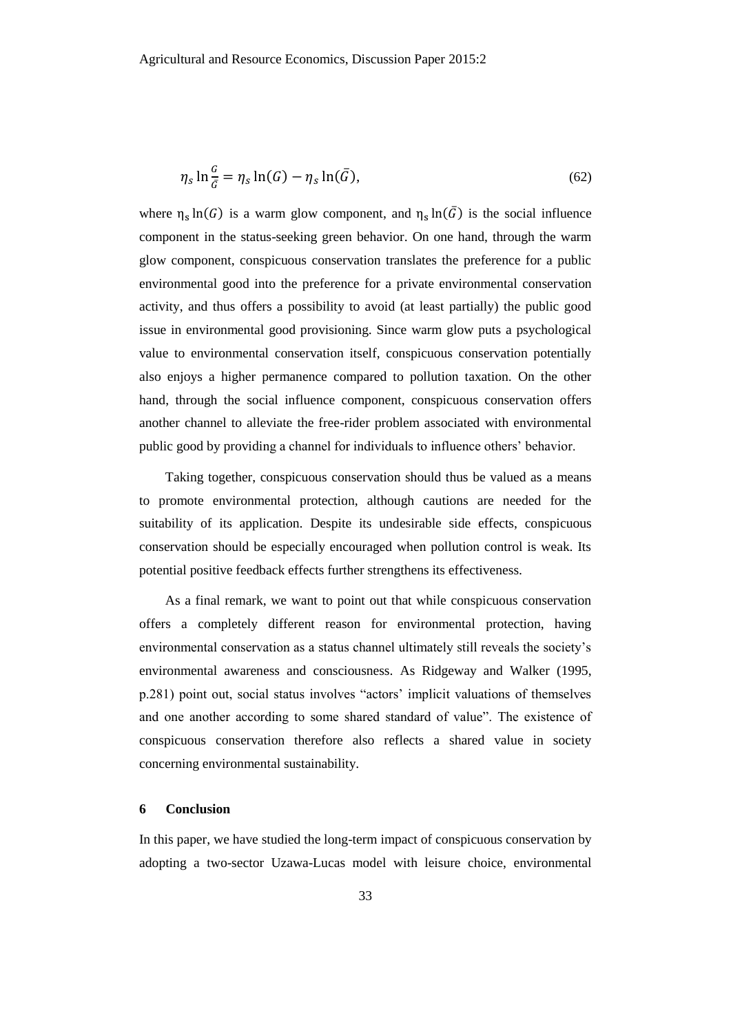$$
\eta_s \ln \frac{G}{\bar{G}} = \eta_s \ln(G) - \eta_s \ln(\bar{G}),\tag{62}
$$

where  $\eta_s \ln(G)$  is a warm glow component, and  $\eta_s \ln(\bar{G})$  is the social influence component in the status-seeking green behavior. On one hand, through the warm glow component, conspicuous conservation translates the preference for a public environmental good into the preference for a private environmental conservation activity, and thus offers a possibility to avoid (at least partially) the public good issue in environmental good provisioning. Since warm glow puts a psychological value to environmental conservation itself, conspicuous conservation potentially also enjoys a higher permanence compared to pollution taxation. On the other hand, through the social influence component, conspicuous conservation offers another channel to alleviate the free-rider problem associated with environmental public good by providing a channel for individuals to influence others' behavior.

Taking together, conspicuous conservation should thus be valued as a means to promote environmental protection, although cautions are needed for the suitability of its application. Despite its undesirable side effects, conspicuous conservation should be especially encouraged when pollution control is weak. Its potential positive feedback effects further strengthens its effectiveness.

As a final remark, we want to point out that while conspicuous conservation offers a completely different reason for environmental protection, having environmental conservation as a status channel ultimately still reveals the society's environmental awareness and consciousness. As Ridgeway and Walker (1995, p.281) point out, social status involves "actors' implicit valuations of themselves and one another according to some shared standard of value". The existence of conspicuous conservation therefore also reflects a shared value in society concerning environmental sustainability.

#### **6 Conclusion**

In this paper, we have studied the long-term impact of conspicuous conservation by adopting a two-sector Uzawa-Lucas model with leisure choice, environmental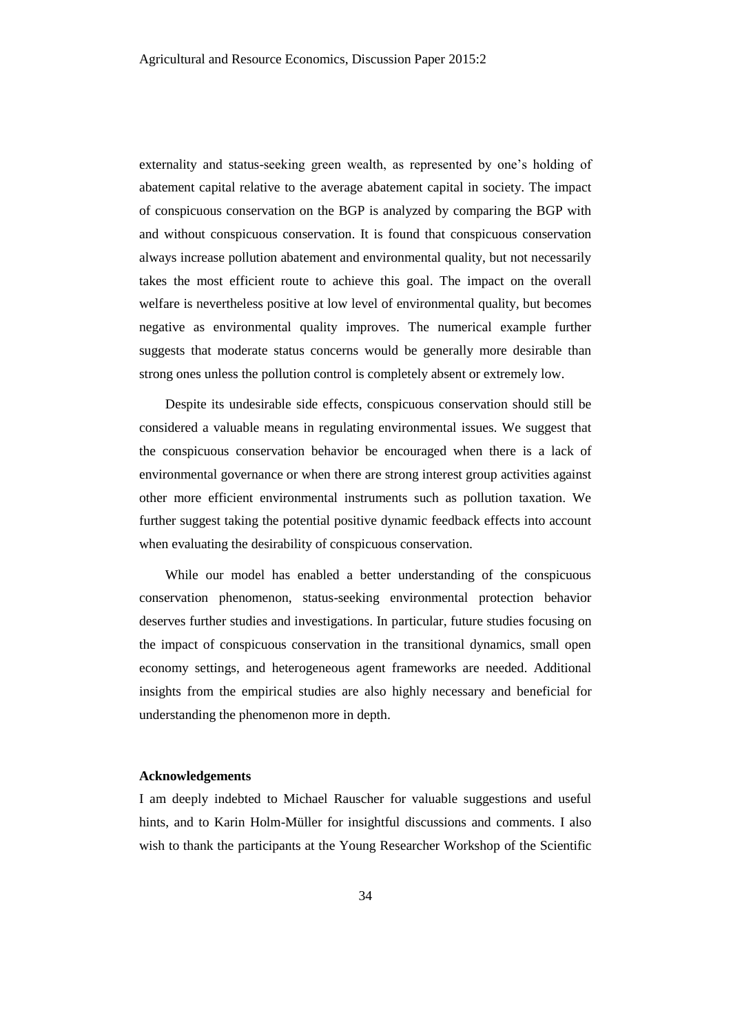externality and status-seeking green wealth, as represented by one's holding of abatement capital relative to the average abatement capital in society. The impact of conspicuous conservation on the BGP is analyzed by comparing the BGP with and without conspicuous conservation. It is found that conspicuous conservation always increase pollution abatement and environmental quality, but not necessarily takes the most efficient route to achieve this goal. The impact on the overall welfare is nevertheless positive at low level of environmental quality, but becomes negative as environmental quality improves. The numerical example further suggests that moderate status concerns would be generally more desirable than strong ones unless the pollution control is completely absent or extremely low.

Despite its undesirable side effects, conspicuous conservation should still be considered a valuable means in regulating environmental issues. We suggest that the conspicuous conservation behavior be encouraged when there is a lack of environmental governance or when there are strong interest group activities against other more efficient environmental instruments such as pollution taxation. We further suggest taking the potential positive dynamic feedback effects into account when evaluating the desirability of conspicuous conservation.

While our model has enabled a better understanding of the conspicuous conservation phenomenon, status-seeking environmental protection behavior deserves further studies and investigations. In particular, future studies focusing on the impact of conspicuous conservation in the transitional dynamics, small open economy settings, and heterogeneous agent frameworks are needed. Additional insights from the empirical studies are also highly necessary and beneficial for understanding the phenomenon more in depth.

#### **Acknowledgements**

I am deeply indebted to Michael Rauscher for valuable suggestions and useful hints, and to Karin Holm-Müller for insightful discussions and comments. I also wish to thank the participants at the Young Researcher Workshop of the Scientific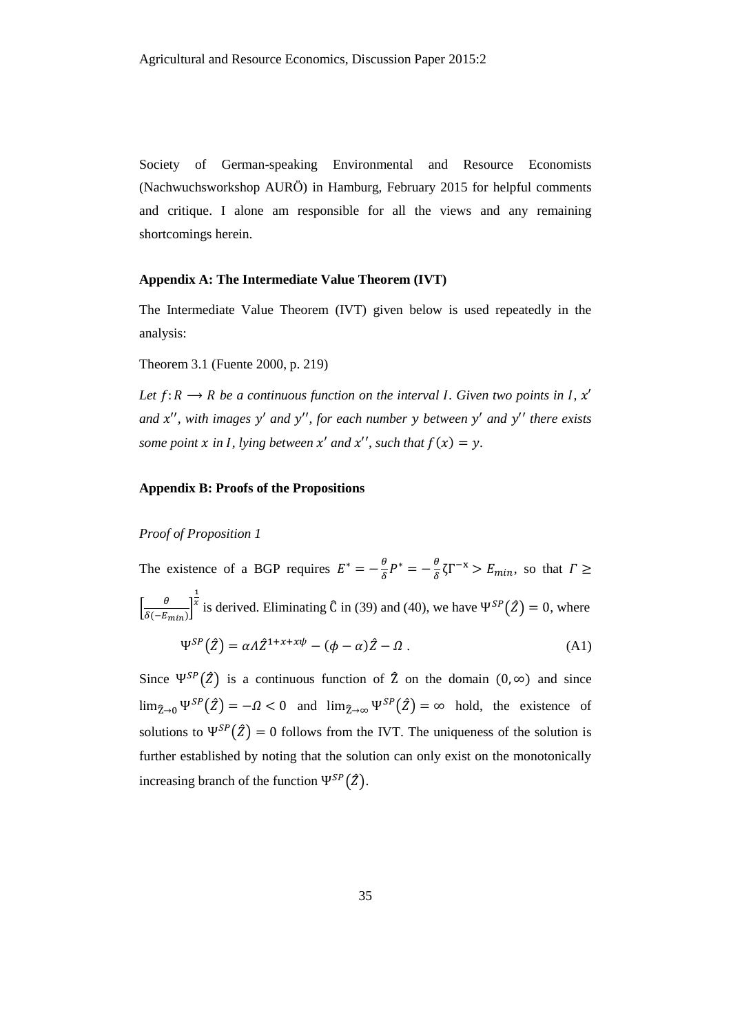Society of German-speaking Environmental and Resource Economists (Nachwuchsworkshop AURÖ) in Hamburg, February 2015 for helpful comments and critique. I alone am responsible for all the views and any remaining shortcomings herein.

# **Appendix A: The Intermediate Value Theorem (IVT)**

The Intermediate Value Theorem (IVT) given below is used repeatedly in the analysis:

Theorem 3.1 (Fuente 2000, p. 219)

Let  $f: R \longrightarrow R$  be a continuous function on the interval *I*. Given two points in *I*,  $x'$ *and*  $x''$ , with images  $y'$  and  $y''$ , for each number  $y$  between  $y'$  and  $y''$  there exists *some point*  $x$  *in I, lying between*  $x'$  *and*  $x''$ *, such that*  $f(x) = y$ *.* 

# **Appendix B: Proofs of the Propositions**

# *Proof of Proposition 1*

The existence of a BGP requires  $E^* = -\frac{\theta}{s}$  $\frac{\theta}{\delta}P^* = -\frac{\theta}{\delta}$  $\frac{\theta}{\delta} \zeta \Gamma^{-x} > E_{min}$ , so that  $\Gamma \geq$  $\left[\frac{\theta}{\sqrt{2}}\right]$  $\frac{6}{\delta(-E_{min})}$ 1 <sup>x</sup> is derived. Eliminating  $\hat{C}$  in [\(39\)](#page-16-2) an[d \(40\),](#page-16-0) we have  $\Psi^{SP}(\hat{Z}) = 0$ , where

$$
\Psi^{SP}(\hat{Z}) = \alpha A \hat{Z}^{1+x+x\psi} - (\phi - \alpha) \hat{Z} - \Omega . \tag{A1}
$$

Since  $\Psi^{SP}(\hat{Z})$  is a continuous function of  $\hat{Z}$  on the domain  $(0, \infty)$  and since  $\lim_{\hat{z}\to 0} \Psi^{SP}(\hat{z}) = -\Omega < 0$  and  $\lim_{\hat{z}\to \infty} \Psi^{SP}(\hat{z}) = \infty$  hold, the existence of solutions to  $\Psi^{SP}(\hat{Z}) = 0$  follows from the IVT. The uniqueness of the solution is further established by noting that the solution can only exist on the monotonically increasing branch of the function  $\Psi^{SP}(\hat{Z})$ .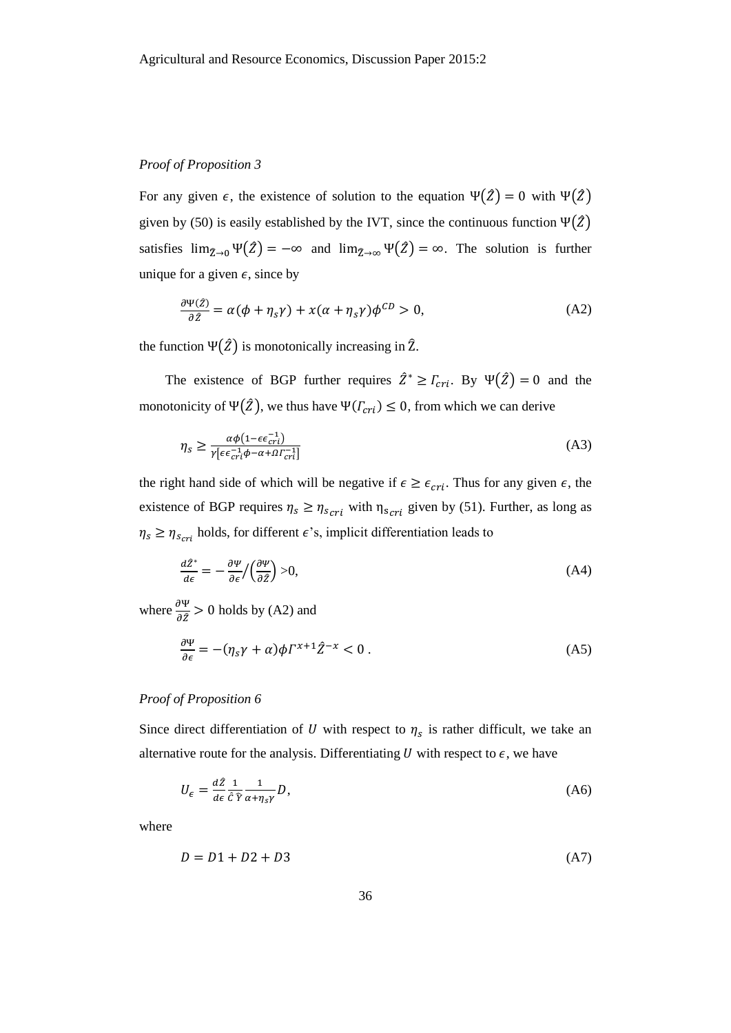#### *Proof of Proposition 3*

For any given  $\epsilon$ , the existence of solution to the equation  $\Psi(\hat{Z}) = 0$  with  $\Psi(\hat{Z})$ given by [\(50\)](#page-19-2) is easily established by the IVT, since the continuous function  $\Psi(\hat{Z})$ satisfies  $\lim_{\tilde{z}\to 0} \Psi(\tilde{z}) = -\infty$  and  $\lim_{\tilde{z}\to \infty} \Psi(\tilde{z}) = \infty$ . The solution is further unique for a given  $\epsilon$ , since by

<span id="page-36-0"></span>
$$
\frac{\partial \Psi(\hat{z})}{\partial \hat{z}} = \alpha(\phi + \eta_s \gamma) + x(\alpha + \eta_s \gamma) \phi^{CD} > 0,
$$
 (A2)

the function  $\Psi(\hat{Z})$  is monotonically increasing in  $\hat{Z}$ .

The existence of BGP further requires  $\hat{Z}^* \geq \Gamma_{cri}$ . By  $\Psi(\hat{Z}) = 0$  and the monotonicity of  $\Psi(\hat{Z})$ , we thus have  $\Psi(\Gamma_{cri}) \leq 0$ , from which we can derive

$$
\eta_s \ge \frac{\alpha \phi (1 - \epsilon \epsilon_{cri}^{-1})}{\gamma [\epsilon \epsilon_{cri}^{-1} \phi - \alpha + \Omega_{cri}^{-1}]}
$$
(A3)

the right hand side of which will be negative if  $\epsilon \geq \epsilon_{cri}$ . Thus for any given  $\epsilon$ , the existence of BGP requires  $\eta_s \ge \eta_{scri}$  with  $\eta_{scri}$  given by [\(51\).](#page-19-1) Further, as long as  $\eta_s \geq \eta_{scri}$  holds, for different  $\epsilon$ 's, implicit differentiation leads to

$$
\frac{d\hat{Z}^*}{d\epsilon} = -\frac{\partial \Psi}{\partial \epsilon} / \left(\frac{\partial \Psi}{\partial \hat{Z}}\right) > 0,\tag{A4}
$$

where  $\frac{\partial \Psi}{\partial \hat{z}} > 0$  holds by [\(A2\)](#page-36-0) and

$$
\frac{\partial \Psi}{\partial \epsilon} = -(\eta_s \gamma + \alpha) \phi \Gamma^{x+1} \hat{Z}^{-x} < 0 \tag{A5}
$$

# *Proof of Proposition 6*

Since direct differentiation of U with respect to  $\eta_s$  is rather difficult, we take an alternative route for the analysis. Differentiating  $U$  with respect to  $\epsilon$ , we have

<span id="page-36-1"></span>
$$
U_{\epsilon} = \frac{d\hat{z}}{d\epsilon} \frac{1}{\hat{c}\hat{\gamma}} \frac{1}{\alpha + \eta_{s\gamma}} D,\tag{A6}
$$

where

$$
D = D1 + D2 + D3 \tag{A7}
$$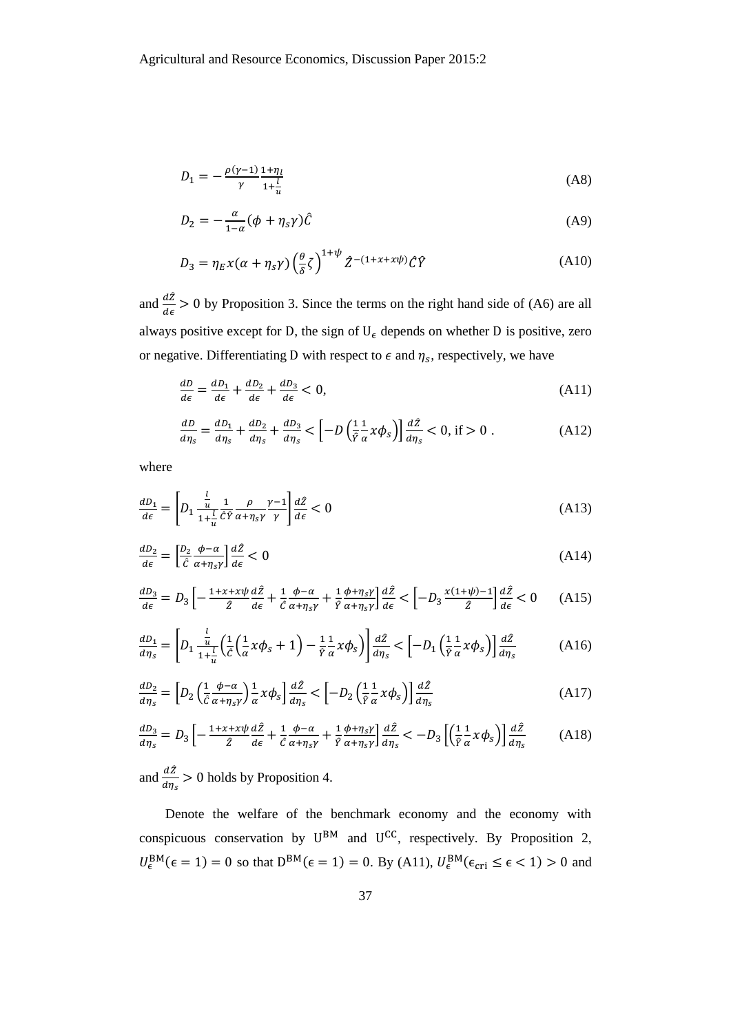$$
D_1 = -\frac{\rho(\gamma - 1)}{\gamma} \frac{1 + \eta_l}{1 + \frac{l}{u}}
$$
(A8)

$$
D_2 = -\frac{\alpha}{1-\alpha} (\phi + \eta_s \gamma) \hat{C}
$$
 (A9)

$$
D_3 = \eta_E \chi(\alpha + \eta_S \gamma) \left(\frac{\theta}{\delta} \zeta\right)^{1+\psi} \hat{Z}^{-(1+x+x\psi)} \hat{C} \hat{Y}
$$
 (A10)

and  $\frac{d\hat{z}}{d\epsilon} > 0$  by Proposition 3. Since the terms on the right hand side of [\(A6\)](#page-36-1) are all always positive except for D, the sign of  $U_{\epsilon}$  depends on whether D is positive, zero or negative. Differentiating D with respect to  $\epsilon$  and  $\eta_s$ , respectively, we have

<span id="page-37-0"></span>
$$
\frac{dD}{d\epsilon} = \frac{dD_1}{d\epsilon} + \frac{dD_2}{d\epsilon} + \frac{dD_3}{d\epsilon} < 0,\tag{A11}
$$

<span id="page-37-1"></span>
$$
\frac{dD}{d\eta_s} = \frac{dD_1}{d\eta_s} + \frac{dD_2}{d\eta_s} + \frac{dD_3}{d\eta_s} < \left[ -D\left(\frac{1}{\hat{r}}\frac{1}{\alpha}x\phi_s\right) \right] \frac{d\hat{Z}}{d\eta_s} < 0, \text{ if } > 0 \; . \tag{A12}
$$

where

$$
\frac{d_{\mathcal{D}_1}}{d\epsilon} = \left[ D_1 \frac{\frac{l}{u}}{1 + \frac{l}{u}} \frac{1}{\hat{C}\hat{Y}} \frac{\rho}{\alpha + \eta_S \gamma} \frac{\gamma - 1}{\gamma} \right] \frac{d\hat{Z}}{d\epsilon} < 0 \tag{A13}
$$

$$
\frac{dD_2}{d\epsilon} = \left[\frac{D_2}{\hat{c}} \frac{\phi - \alpha}{\alpha + \eta_S \gamma}\right] \frac{d\hat{Z}}{d\epsilon} < 0 \tag{A14}
$$

$$
\frac{dD_3}{d\epsilon} = D_3 \left[ -\frac{1+x+x\psi}{\hat{z}} \frac{d\hat{z}}{d\epsilon} + \frac{1}{\hat{c}} \frac{\phi-\alpha}{\alpha+\eta_s \gamma} + \frac{1}{\hat{r}} \frac{\phi+\eta_s \gamma}{\alpha+\eta_s \gamma} \right] \frac{d\hat{z}}{d\epsilon} < \left[ -D_3 \frac{x(1+\psi)-1}{\hat{z}} \right] \frac{d\hat{z}}{d\epsilon} < 0 \tag{A15}
$$

$$
\frac{dD_1}{d\eta_s} = \left[ D_1 \frac{\frac{l}{u}}{1 + \frac{l}{u}} \left( \frac{1}{\hat{c}} \left( \frac{1}{\alpha} x \phi_s + 1 \right) - \frac{1}{\hat{r}} \frac{1}{\alpha} x \phi_s \right) \right] \frac{d\hat{z}}{d\eta_s} < \left[ -D_1 \left( \frac{1}{\hat{r}} \frac{1}{\alpha} x \phi_s \right) \right] \frac{d\hat{z}}{d\eta_s} \tag{A16}
$$

$$
\frac{dD_2}{d\eta_s} = \left[ D_2 \left( \frac{1}{\hat{c}} \frac{\phi - \alpha}{\alpha + \eta_s \gamma} \right) \frac{1}{\alpha} \chi \phi_s \right] \frac{d\hat{Z}}{d\eta_s} < \left[ -D_2 \left( \frac{1}{\hat{r}} \frac{1}{\alpha} \chi \phi_s \right) \right] \frac{d\hat{Z}}{d\eta_s} \tag{A17}
$$

$$
\frac{dD_3}{d\eta_s} = D_3 \left[ -\frac{1 + x + x\psi}{\hat{z}} \frac{d\hat{z}}{d\epsilon} + \frac{1}{\hat{c}} \frac{\phi - \alpha}{\alpha + \eta_s \gamma} + \frac{1}{\hat{r}} \frac{\phi + \eta_s \gamma}{\alpha + \eta_s \gamma} \right] \frac{d\hat{z}}{d\eta_s} < -D_3 \left[ \left( \frac{1}{\hat{r}} \frac{1}{\alpha} x \phi_s \right) \right] \frac{d\hat{z}}{d\eta_s} \tag{A18}
$$

and  $\frac{d\hat{Z}}{d\eta_s} > 0$  holds by Proposition 4.

Denote the welfare of the benchmark economy and the economy with conspicuous conservation by  $U^{BM}$  and  $U^{CC}$ , respectively. By Proposition 2,  $U_{\epsilon}^{BM}(\epsilon=1)=0$  so that  $D^{BM}(\epsilon=1)=0$ . By [\(A11\),](#page-37-0)  $U_{\epsilon}^{BM}(\epsilon_{cri}\leq \epsilon < 1)>0$  and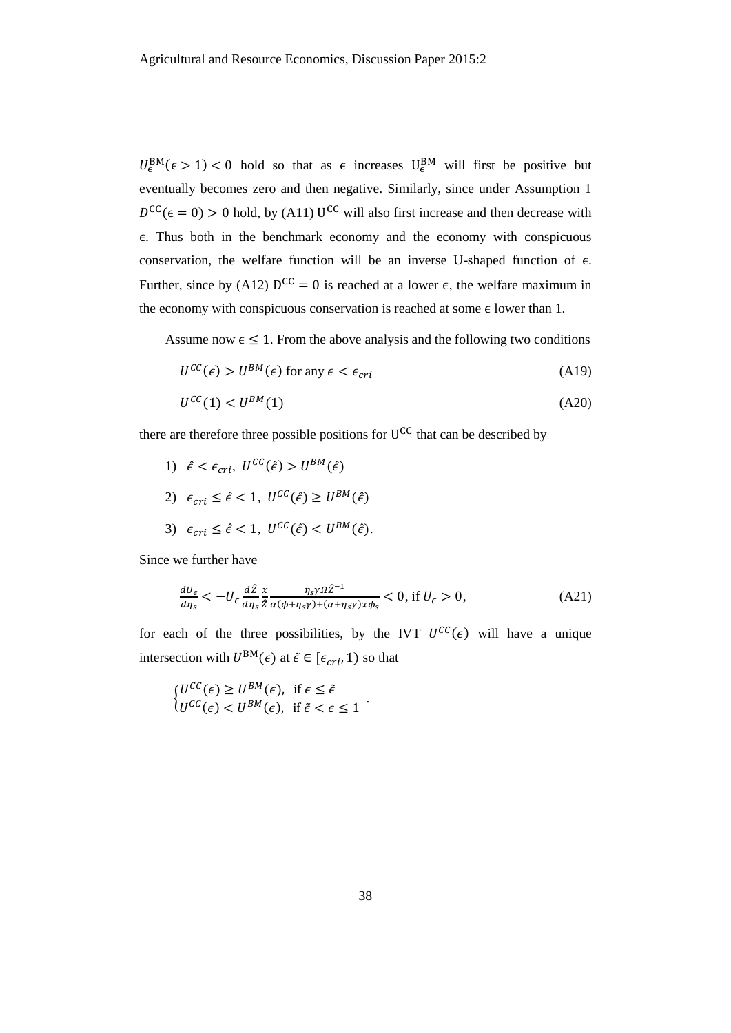$U_{\epsilon}^{BM}(\epsilon > 1) < 0$  hold so that as  $\epsilon$  increases  $U_{\epsilon}^{BM}$  will first be positive but eventually becomes zero and then negative. Similarly, since under Assumption 1  $D^{CC}(\epsilon = 0) > 0$  hold, by [\(A11\)](#page-37-0) U<sup>CC</sup> will also first increase and then decrease with ϵ. Thus both in the benchmark economy and the economy with conspicuous conservation, the welfare function will be an inverse U-shaped function of  $\epsilon$ . Further, since by [\(A12\)](#page-37-1)  $D^{CC} = 0$  is reached at a lower  $\epsilon$ , the welfare maximum in the economy with conspicuous conservation is reached at some  $\epsilon$  lower than 1.

Assume now  $\epsilon \leq 1$ . From the above analysis and the following two conditions

$$
U^{CC}(\epsilon) > U^{BM}(\epsilon) \text{ for any } \epsilon < \epsilon_{cri}
$$
 (A19)

$$
U^{CC}(1) < U^{BM}(1) \tag{A20}
$$

there are therefore three possible positions for  $U^{CC}$  that can be described by

1)  $\hat{\epsilon} < \epsilon_{cri}, \ U^{CC}(\hat{\epsilon}) > U^{BM}(\hat{\epsilon})$ 2)  $\epsilon_{cri} \leq \hat{\epsilon} < 1, U^{CC}(\hat{\epsilon}) \geq U^{BM}(\hat{\epsilon})$ 3)  $\epsilon_{cri} \leq \hat{\epsilon} < 1, \ U^{CC}(\hat{\epsilon}) < U^{BM}(\hat{\epsilon}).$ 

Since we further have

$$
\frac{dU_{\epsilon}}{d\eta_{s}} < -U_{\epsilon} \frac{d\hat{Z}}{d\eta_{s}} \frac{x}{\hat{Z}} \frac{\eta_{s} \gamma \Omega \hat{Z}^{-1}}{\alpha(\phi + \eta_{s} \gamma) + (\alpha + \eta_{s} \gamma) x \phi_{s}} < 0, \text{ if } U_{\epsilon} > 0,
$$
\n(A21)

for each of the three possibilities, by the IVT  $U^{CC}(\epsilon)$  will have a unique intersection with  $U^{BM}(\epsilon)$  at  $\tilde{\epsilon} \in [\epsilon_{cri}, 1)$  so that

$$
\begin{cases}\nU^{CC}(\epsilon) \ge U^{BM}(\epsilon), & \text{if } \epsilon \le \tilde{\epsilon} \\
U^{CC}(\epsilon) < U^{BM}(\epsilon), & \text{if } \tilde{\epsilon} < \epsilon \le 1\n\end{cases}.
$$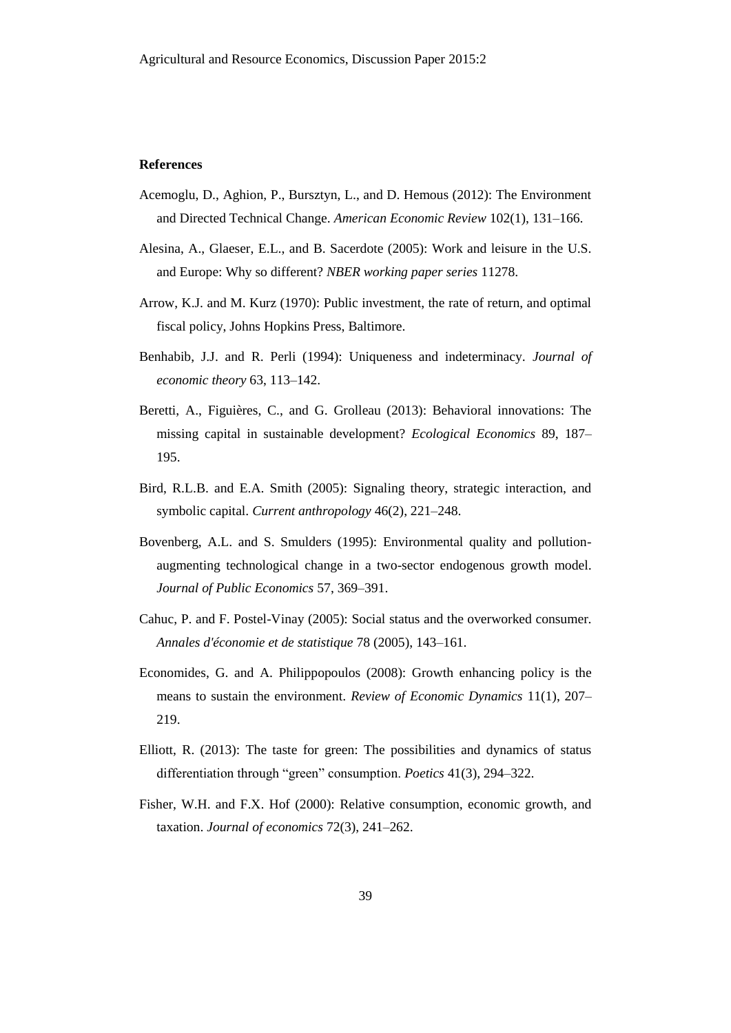#### **References**

- Acemoglu, D., Aghion, P., Bursztyn, L., and D. Hemous (2012): The Environment and Directed Technical Change. *American Economic Review* 102(1), 131–166.
- Alesina, A., Glaeser, E.L., and B. Sacerdote (2005): Work and leisure in the U.S. and Europe: Why so different? *NBER working paper series* 11278.
- Arrow, K.J. and M. Kurz (1970): Public investment, the rate of return, and optimal fiscal policy, Johns Hopkins Press, Baltimore.
- Benhabib, J.J. and R. Perli (1994): Uniqueness and indeterminacy. *Journal of economic theory* 63, 113–142.
- Beretti, A., Figuières, C., and G. Grolleau (2013): Behavioral innovations: The missing capital in sustainable development? *Ecological Economics* 89, 187– 195.
- Bird, R.L.B. and E.A. Smith (2005): Signaling theory, strategic interaction, and symbolic capital. *Current anthropology* 46(2), 221–248.
- Bovenberg, A.L. and S. Smulders (1995): Environmental quality and pollutionaugmenting technological change in a two-sector endogenous growth model. *Journal of Public Economics* 57, 369–391.
- Cahuc, P. and F. Postel-Vinay (2005): Social status and the overworked consumer. *Annales d'économie et de statistique* 78 (2005), 143–161.
- Economides, G. and A. Philippopoulos (2008): Growth enhancing policy is the means to sustain the environment. *Review of Economic Dynamics* 11(1), 207– 219.
- Elliott, R. (2013): The taste for green: The possibilities and dynamics of status differentiation through "green" consumption. *Poetics* 41(3), 294–322.
- Fisher, W.H. and F.X. Hof (2000): Relative consumption, economic growth, and taxation. *Journal of economics* 72(3), 241–262.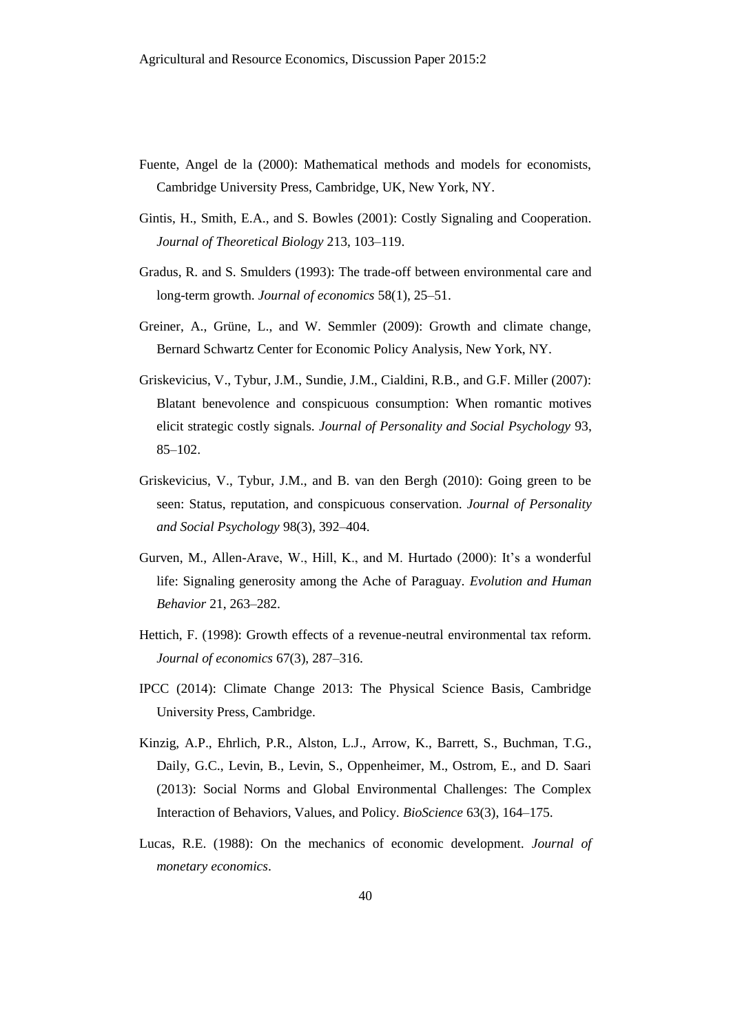- Fuente, Angel de la (2000): Mathematical methods and models for economists, Cambridge University Press, Cambridge, UK, New York, NY.
- Gintis, H., Smith, E.A., and S. Bowles (2001): Costly Signaling and Cooperation. *Journal of Theoretical Biology* 213, 103–119.
- Gradus, R. and S. Smulders (1993): The trade-off between environmental care and long-term growth. *Journal of economics* 58(1), 25–51.
- Greiner, A., Grüne, L., and W. Semmler (2009): Growth and climate change, Bernard Schwartz Center for Economic Policy Analysis, New York, NY.
- Griskevicius, V., Tybur, J.M., Sundie, J.M., Cialdini, R.B., and G.F. Miller (2007): Blatant benevolence and conspicuous consumption: When romantic motives elicit strategic costly signals. *Journal of Personality and Social Psychology* 93, 85–102.
- Griskevicius, V., Tybur, J.M., and B. van den Bergh (2010): Going green to be seen: Status, reputation, and conspicuous conservation. *Journal of Personality and Social Psychology* 98(3), 392–404.
- Gurven, M., Allen-Arave, W., Hill, K., and M. Hurtado (2000): It's a wonderful life: Signaling generosity among the Ache of Paraguay. *Evolution and Human Behavior* 21, 263–282.
- Hettich, F. (1998): Growth effects of a revenue-neutral environmental tax reform. *Journal of economics* 67(3), 287–316.
- IPCC (2014): Climate Change 2013: The Physical Science Basis, Cambridge University Press, Cambridge.
- Kinzig, A.P., Ehrlich, P.R., Alston, L.J., Arrow, K., Barrett, S., Buchman, T.G., Daily, G.C., Levin, B., Levin, S., Oppenheimer, M., Ostrom, E., and D. Saari (2013): Social Norms and Global Environmental Challenges: The Complex Interaction of Behaviors, Values, and Policy. *BioScience* 63(3), 164–175.
- Lucas, R.E. (1988): On the mechanics of economic development. *Journal of monetary economics*.